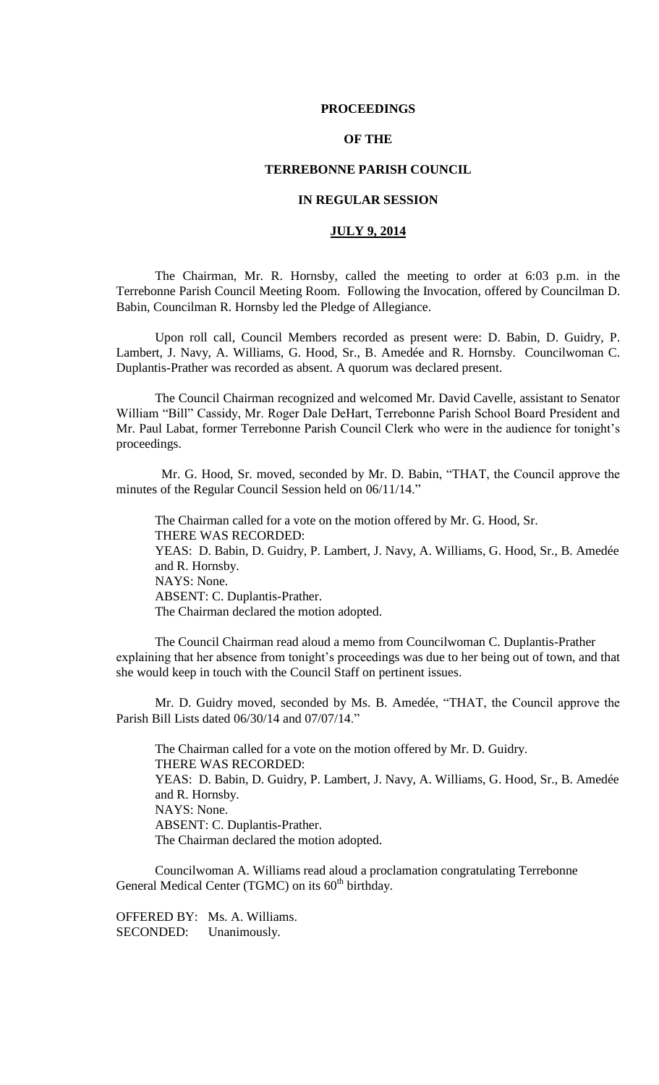### **PROCEEDINGS**

# **OF THE**

## **TERREBONNE PARISH COUNCIL**

# **IN REGULAR SESSION**

# **JULY 9, 2014**

The Chairman, Mr. R. Hornsby, called the meeting to order at 6:03 p.m. in the Terrebonne Parish Council Meeting Room. Following the Invocation, offered by Councilman D. Babin, Councilman R. Hornsby led the Pledge of Allegiance.

Upon roll call, Council Members recorded as present were: D. Babin, D. Guidry, P. Lambert, J. Navy, A. Williams, G. Hood, Sr., B. Amedée and R. Hornsby. Councilwoman C. Duplantis-Prather was recorded as absent. A quorum was declared present.

The Council Chairman recognized and welcomed Mr. David Cavelle, assistant to Senator William "Bill" Cassidy, Mr. Roger Dale DeHart, Terrebonne Parish School Board President and Mr. Paul Labat, former Terrebonne Parish Council Clerk who were in the audience for tonight's proceedings.

 Mr. G. Hood, Sr. moved, seconded by Mr. D. Babin, "THAT, the Council approve the minutes of the Regular Council Session held on 06/11/14."

The Chairman called for a vote on the motion offered by Mr. G. Hood, Sr. THERE WAS RECORDED: YEAS: D. Babin, D. Guidry, P. Lambert, J. Navy, A. Williams, G. Hood, Sr., B. Amedée and R. Hornsby. NAYS: None. ABSENT: C. Duplantis-Prather. The Chairman declared the motion adopted.

The Council Chairman read aloud a memo from Councilwoman C. Duplantis-Prather explaining that her absence from tonight's proceedings was due to her being out of town, and that she would keep in touch with the Council Staff on pertinent issues.

Mr. D. Guidry moved, seconded by Ms. B. Amedée, "THAT, the Council approve the Parish Bill Lists dated 06/30/14 and 07/07/14."

The Chairman called for a vote on the motion offered by Mr. D. Guidry. THERE WAS RECORDED: YEAS: D. Babin, D. Guidry, P. Lambert, J. Navy, A. Williams, G. Hood, Sr., B. Amedée and R. Hornsby. NAYS: None. ABSENT: C. Duplantis-Prather. The Chairman declared the motion adopted.

Councilwoman A. Williams read aloud a proclamation congratulating Terrebonne General Medical Center (TGMC) on its 60<sup>th</sup> birthday.

OFFERED BY: Ms. A. Williams. SECONDED: Unanimously.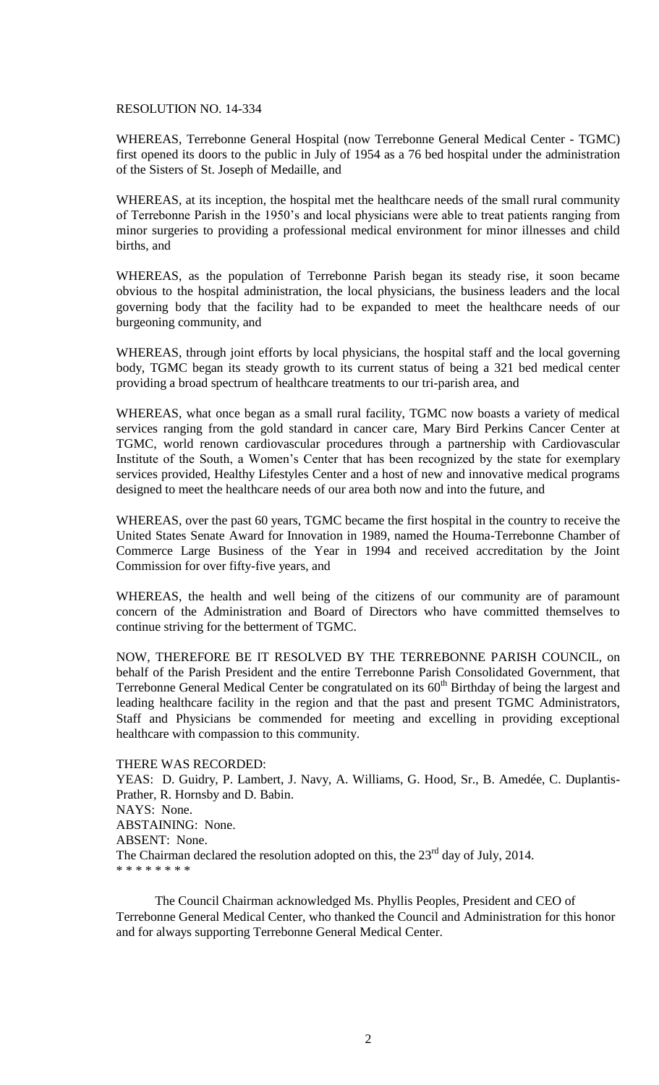### RESOLUTION NO. 14-334

WHEREAS, Terrebonne General Hospital (now Terrebonne General Medical Center - TGMC) first opened its doors to the public in July of 1954 as a 76 bed hospital under the administration of the Sisters of St. Joseph of Medaille, and

WHEREAS, at its inception, the hospital met the healthcare needs of the small rural community of Terrebonne Parish in the 1950's and local physicians were able to treat patients ranging from minor surgeries to providing a professional medical environment for minor illnesses and child births, and

WHEREAS, as the population of Terrebonne Parish began its steady rise, it soon became obvious to the hospital administration, the local physicians, the business leaders and the local governing body that the facility had to be expanded to meet the healthcare needs of our burgeoning community, and

WHEREAS, through joint efforts by local physicians, the hospital staff and the local governing body, TGMC began its steady growth to its current status of being a 321 bed medical center providing a broad spectrum of healthcare treatments to our tri-parish area, and

WHEREAS, what once began as a small rural facility, TGMC now boasts a variety of medical services ranging from the gold standard in cancer care, Mary Bird Perkins Cancer Center at TGMC, world renown cardiovascular procedures through a partnership with Cardiovascular Institute of the South, a Women's Center that has been recognized by the state for exemplary services provided, Healthy Lifestyles Center and a host of new and innovative medical programs designed to meet the healthcare needs of our area both now and into the future, and

WHEREAS, over the past 60 years, TGMC became the first hospital in the country to receive the United States Senate Award for Innovation in 1989, named the Houma-Terrebonne Chamber of Commerce Large Business of the Year in 1994 and received accreditation by the Joint Commission for over fifty-five years, and

WHEREAS, the health and well being of the citizens of our community are of paramount concern of the Administration and Board of Directors who have committed themselves to continue striving for the betterment of TGMC.

NOW, THEREFORE BE IT RESOLVED BY THE TERREBONNE PARISH COUNCIL, on behalf of the Parish President and the entire Terrebonne Parish Consolidated Government, that Terrebonne General Medical Center be congratulated on its  $60<sup>th</sup>$  Birthday of being the largest and leading healthcare facility in the region and that the past and present TGMC Administrators, Staff and Physicians be commended for meeting and excelling in providing exceptional healthcare with compassion to this community.

THERE WAS RECORDED:

YEAS: D. Guidry, P. Lambert, J. Navy, A. Williams, G. Hood, Sr., B. Amedée, C. Duplantis-Prather, R. Hornsby and D. Babin. NAYS: None. ABSTAINING: None. ABSENT: None. The Chairman declared the resolution adopted on this, the  $23<sup>rd</sup>$  day of July, 2014. \* \* \* \* \* \* \* \*

The Council Chairman acknowledged Ms. Phyllis Peoples, President and CEO of Terrebonne General Medical Center, who thanked the Council and Administration for this honor and for always supporting Terrebonne General Medical Center.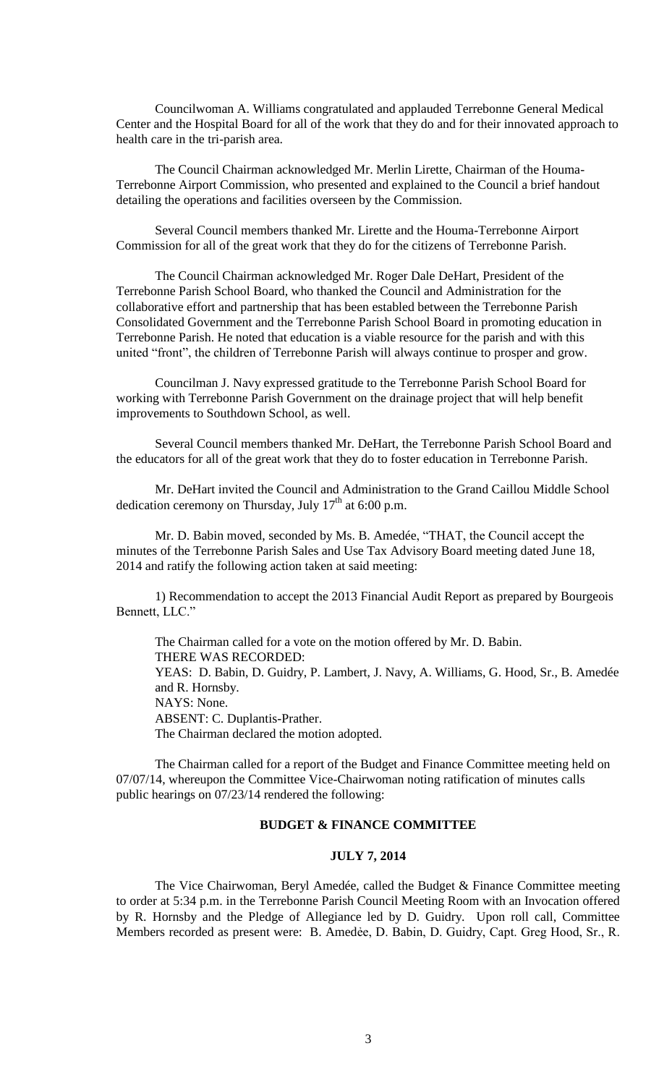Councilwoman A. Williams congratulated and applauded Terrebonne General Medical Center and the Hospital Board for all of the work that they do and for their innovated approach to health care in the tri-parish area.

The Council Chairman acknowledged Mr. Merlin Lirette, Chairman of the Houma-Terrebonne Airport Commission, who presented and explained to the Council a brief handout detailing the operations and facilities overseen by the Commission.

Several Council members thanked Mr. Lirette and the Houma-Terrebonne Airport Commission for all of the great work that they do for the citizens of Terrebonne Parish.

The Council Chairman acknowledged Mr. Roger Dale DeHart, President of the Terrebonne Parish School Board, who thanked the Council and Administration for the collaborative effort and partnership that has been establed between the Terrebonne Parish Consolidated Government and the Terrebonne Parish School Board in promoting education in Terrebonne Parish. He noted that education is a viable resource for the parish and with this united "front", the children of Terrebonne Parish will always continue to prosper and grow.

Councilman J. Navy expressed gratitude to the Terrebonne Parish School Board for working with Terrebonne Parish Government on the drainage project that will help benefit improvements to Southdown School, as well.

Several Council members thanked Mr. DeHart, the Terrebonne Parish School Board and the educators for all of the great work that they do to foster education in Terrebonne Parish.

Mr. DeHart invited the Council and Administration to the Grand Caillou Middle School dedication ceremony on Thursday, July  $17<sup>th</sup>$  at 6:00 p.m.

 Mr. D. Babin moved, seconded by Ms. B. Amedée, "THAT, the Council accept the minutes of the Terrebonne Parish Sales and Use Tax Advisory Board meeting dated June 18, 2014 and ratify the following action taken at said meeting:

1) Recommendation to accept the 2013 Financial Audit Report as prepared by Bourgeois Bennett, LLC."

The Chairman called for a vote on the motion offered by Mr. D. Babin. THERE WAS RECORDED: YEAS: D. Babin, D. Guidry, P. Lambert, J. Navy, A. Williams, G. Hood, Sr., B. Amedée and R. Hornsby. NAYS: None. ABSENT: C. Duplantis-Prather. The Chairman declared the motion adopted.

The Chairman called for a report of the Budget and Finance Committee meeting held on 07/07/14, whereupon the Committee Vice-Chairwoman noting ratification of minutes calls public hearings on 07/23/14 rendered the following:

# **BUDGET & FINANCE COMMITTEE**

# **JULY 7, 2014**

The Vice Chairwoman, Beryl Amedée, called the Budget & Finance Committee meeting to order at 5:34 p.m. in the Terrebonne Parish Council Meeting Room with an Invocation offered by R. Hornsby and the Pledge of Allegiance led by D. Guidry. Upon roll call, Committee Members recorded as present were: B. Amedẻe, D. Babin, D. Guidry, Capt. Greg Hood, Sr., R.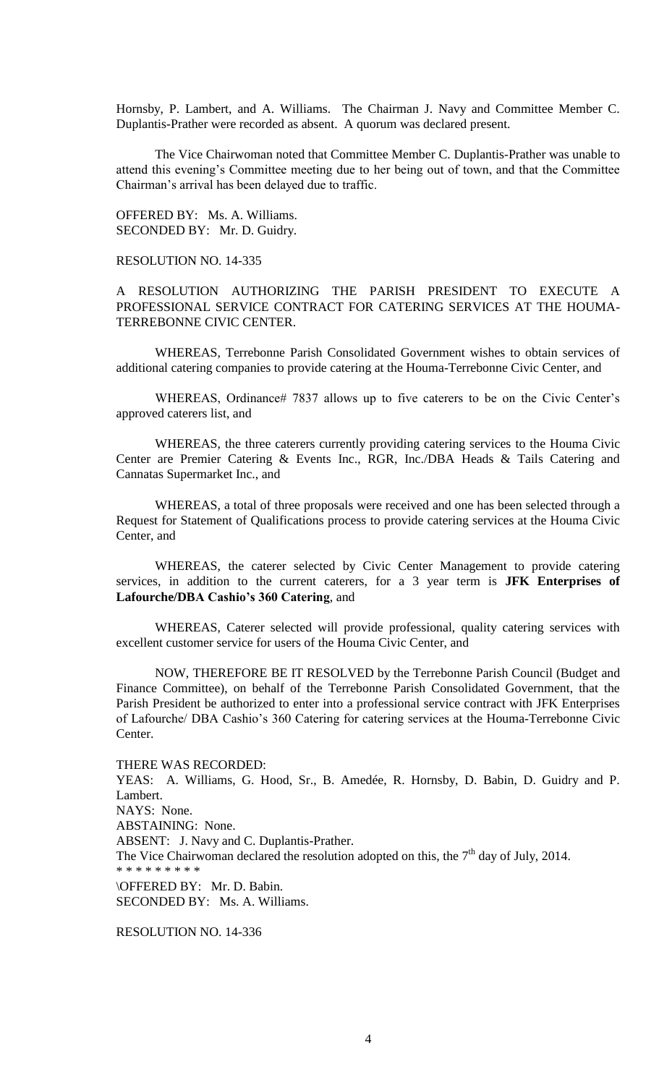Hornsby, P. Lambert, and A. Williams. The Chairman J. Navy and Committee Member C. Duplantis-Prather were recorded as absent. A quorum was declared present.

The Vice Chairwoman noted that Committee Member C. Duplantis-Prather was unable to attend this evening's Committee meeting due to her being out of town, and that the Committee Chairman's arrival has been delayed due to traffic.

OFFERED BY: Ms. A. Williams. SECONDED BY: Mr. D. Guidry.

RESOLUTION NO. 14-335

A RESOLUTION AUTHORIZING THE PARISH PRESIDENT TO EXECUTE A PROFESSIONAL SERVICE CONTRACT FOR CATERING SERVICES AT THE HOUMA-TERREBONNE CIVIC CENTER.

WHEREAS, Terrebonne Parish Consolidated Government wishes to obtain services of additional catering companies to provide catering at the Houma-Terrebonne Civic Center, and

WHEREAS, Ordinance# 7837 allows up to five caterers to be on the Civic Center's approved caterers list, and

WHEREAS, the three caterers currently providing catering services to the Houma Civic Center are Premier Catering & Events Inc., RGR, Inc./DBA Heads & Tails Catering and Cannatas Supermarket Inc., and

WHEREAS, a total of three proposals were received and one has been selected through a Request for Statement of Qualifications process to provide catering services at the Houma Civic Center, and

WHEREAS, the caterer selected by Civic Center Management to provide catering services, in addition to the current caterers, for a 3 year term is **JFK Enterprises of Lafourche/DBA Cashio's 360 Catering**, and

WHEREAS, Caterer selected will provide professional, quality catering services with excellent customer service for users of the Houma Civic Center, and

NOW, THEREFORE BE IT RESOLVED by the Terrebonne Parish Council (Budget and Finance Committee), on behalf of the Terrebonne Parish Consolidated Government, that the Parish President be authorized to enter into a professional service contract with JFK Enterprises of Lafourche/ DBA Cashio's 360 Catering for catering services at the Houma-Terrebonne Civic Center.

THERE WAS RECORDED:

YEAS: A. Williams, G. Hood, Sr., B. Amedée, R. Hornsby, D. Babin, D. Guidry and P. Lambert. NAYS: None. ABSTAINING: None. ABSENT: J. Navy and C. Duplantis-Prather. The Vice Chairwoman declared the resolution adopted on this, the  $7<sup>th</sup>$  day of July, 2014. \* \* \* \* \* \* \* \* \* \OFFERED BY: Mr. D. Babin. SECONDED BY: Ms. A. Williams.

RESOLUTION NO. 14-336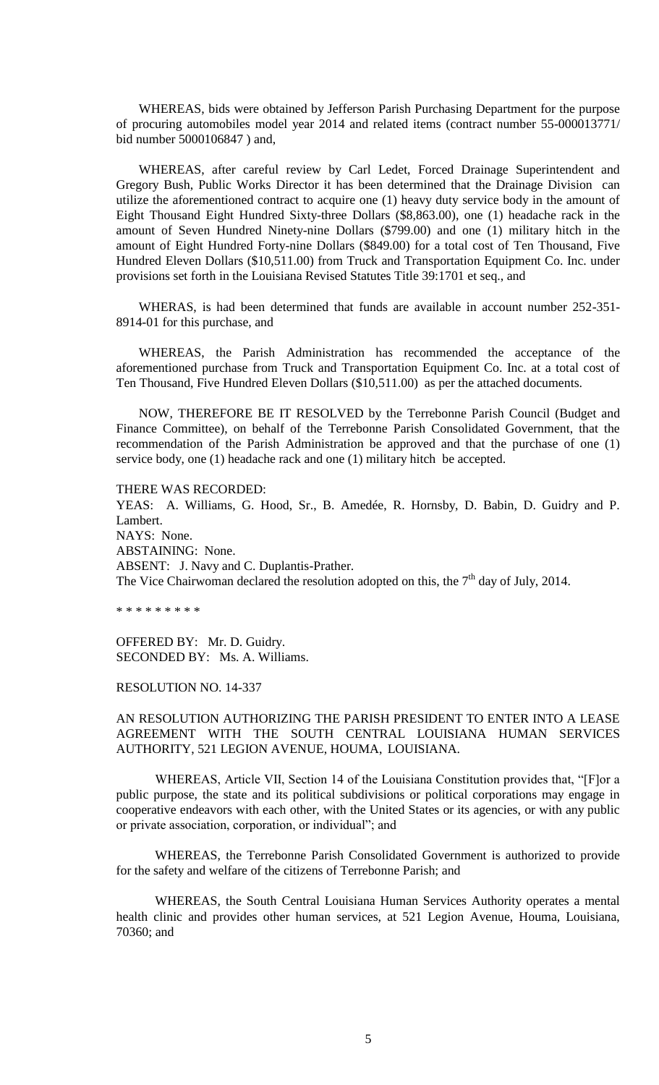WHEREAS, bids were obtained by Jefferson Parish Purchasing Department for the purpose of procuring automobiles model year 2014 and related items (contract number 55-000013771/ bid number 5000106847 ) and,

 WHEREAS, after careful review by Carl Ledet, Forced Drainage Superintendent and Gregory Bush, Public Works Director it has been determined that the Drainage Division can utilize the aforementioned contract to acquire one (1) heavy duty service body in the amount of Eight Thousand Eight Hundred Sixty-three Dollars (\$8,863.00), one (1) headache rack in the amount of Seven Hundred Ninety-nine Dollars (\$799.00) and one (1) military hitch in the amount of Eight Hundred Forty-nine Dollars (\$849.00) for a total cost of Ten Thousand, Five Hundred Eleven Dollars (\$10,511.00) from Truck and Transportation Equipment Co. Inc. under provisions set forth in the Louisiana Revised Statutes Title 39:1701 et seq., and

 WHERAS, is had been determined that funds are available in account number 252-351- 8914-01 for this purchase, and

 WHEREAS, the Parish Administration has recommended the acceptance of the aforementioned purchase from Truck and Transportation Equipment Co. Inc. at a total cost of Ten Thousand, Five Hundred Eleven Dollars (\$10,511.00) as per the attached documents.

 NOW, THEREFORE BE IT RESOLVED by the Terrebonne Parish Council (Budget and Finance Committee), on behalf of the Terrebonne Parish Consolidated Government, that the recommendation of the Parish Administration be approved and that the purchase of one (1) service body, one (1) headache rack and one (1) military hitch be accepted.

THERE WAS RECORDED:

YEAS: A. Williams, G. Hood, Sr., B. Amedée, R. Hornsby, D. Babin, D. Guidry and P. Lambert. NAYS: None. ABSTAINING: None. ABSENT: J. Navy and C. Duplantis-Prather. The Vice Chairwoman declared the resolution adopted on this, the  $7<sup>th</sup>$  day of July, 2014.

\* \* \* \* \* \* \* \* \*

OFFERED BY: Mr. D. Guidry. SECONDED BY: Ms. A. Williams.

RESOLUTION NO. 14-337

AN RESOLUTION AUTHORIZING THE PARISH PRESIDENT TO ENTER INTO A LEASE AGREEMENT WITH THE SOUTH CENTRAL LOUISIANA HUMAN SERVICES AUTHORITY, 521 LEGION AVENUE, HOUMA, LOUISIANA.

WHEREAS, Article VII, Section 14 of the Louisiana Constitution provides that, "[F]or a public purpose, the state and its political subdivisions or political corporations may engage in cooperative endeavors with each other, with the United States or its agencies, or with any public or private association, corporation, or individual"; and

WHEREAS, the Terrebonne Parish Consolidated Government is authorized to provide for the safety and welfare of the citizens of Terrebonne Parish; and

WHEREAS, the South Central Louisiana Human Services Authority operates a mental health clinic and provides other human services, at 521 Legion Avenue, Houma, Louisiana, 70360; and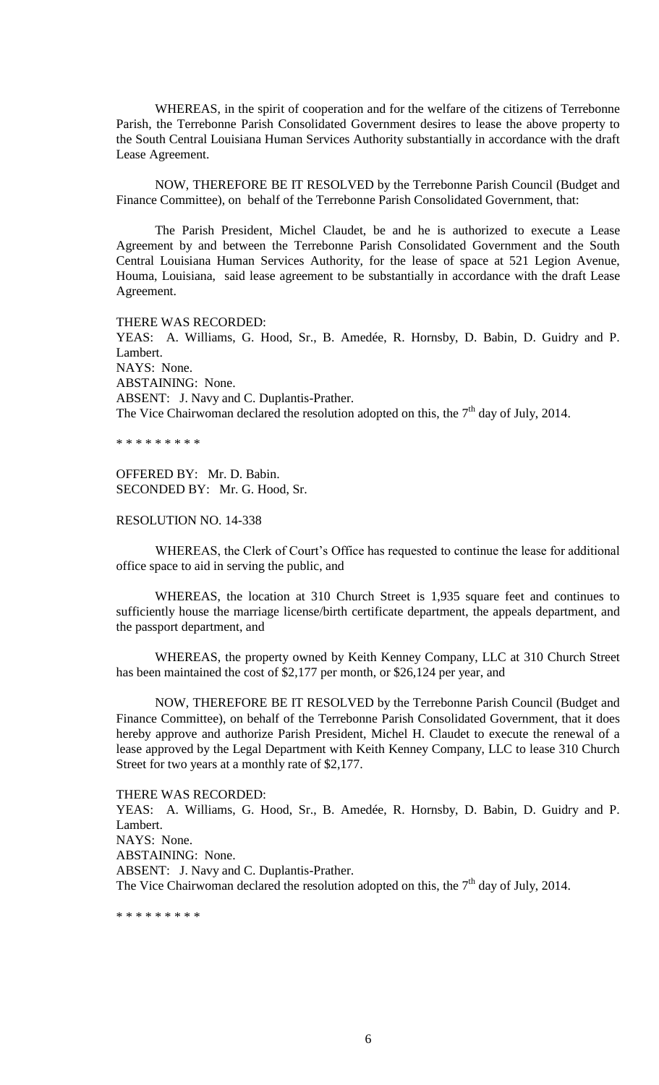WHEREAS, in the spirit of cooperation and for the welfare of the citizens of Terrebonne Parish, the Terrebonne Parish Consolidated Government desires to lease the above property to the South Central Louisiana Human Services Authority substantially in accordance with the draft Lease Agreement.

NOW, THEREFORE BE IT RESOLVED by the Terrebonne Parish Council (Budget and Finance Committee), on behalf of the Terrebonne Parish Consolidated Government, that:

The Parish President, Michel Claudet, be and he is authorized to execute a Lease Agreement by and between the Terrebonne Parish Consolidated Government and the South Central Louisiana Human Services Authority, for the lease of space at 521 Legion Avenue, Houma, Louisiana, said lease agreement to be substantially in accordance with the draft Lease Agreement.

THERE WAS RECORDED:

YEAS: A. Williams, G. Hood, Sr., B. Amedée, R. Hornsby, D. Babin, D. Guidry and P. Lambert. NAYS: None. ABSTAINING: None. ABSENT: J. Navy and C. Duplantis-Prather. The Vice Chairwoman declared the resolution adopted on this, the  $7<sup>th</sup>$  day of July, 2014.

\* \* \* \* \* \* \* \* \*

OFFERED BY: Mr. D. Babin. SECONDED BY: Mr. G. Hood, Sr.

RESOLUTION NO. 14-338

WHEREAS, the Clerk of Court's Office has requested to continue the lease for additional office space to aid in serving the public, and

WHEREAS, the location at 310 Church Street is 1,935 square feet and continues to sufficiently house the marriage license/birth certificate department, the appeals department, and the passport department, and

WHEREAS, the property owned by Keith Kenney Company, LLC at 310 Church Street has been maintained the cost of \$2,177 per month, or \$26,124 per year, and

NOW, THEREFORE BE IT RESOLVED by the Terrebonne Parish Council (Budget and Finance Committee), on behalf of the Terrebonne Parish Consolidated Government, that it does hereby approve and authorize Parish President, Michel H. Claudet to execute the renewal of a lease approved by the Legal Department with Keith Kenney Company, LLC to lease 310 Church Street for two years at a monthly rate of \$2,177.

THERE WAS RECORDED:

YEAS: A. Williams, G. Hood, Sr., B. Amedée, R. Hornsby, D. Babin, D. Guidry and P. Lambert. NAYS: None.

ABSTAINING: None.

ABSENT: J. Navy and C. Duplantis-Prather.

The Vice Chairwoman declared the resolution adopted on this, the  $7<sup>th</sup>$  day of July, 2014.

\* \* \* \* \* \* \* \* \*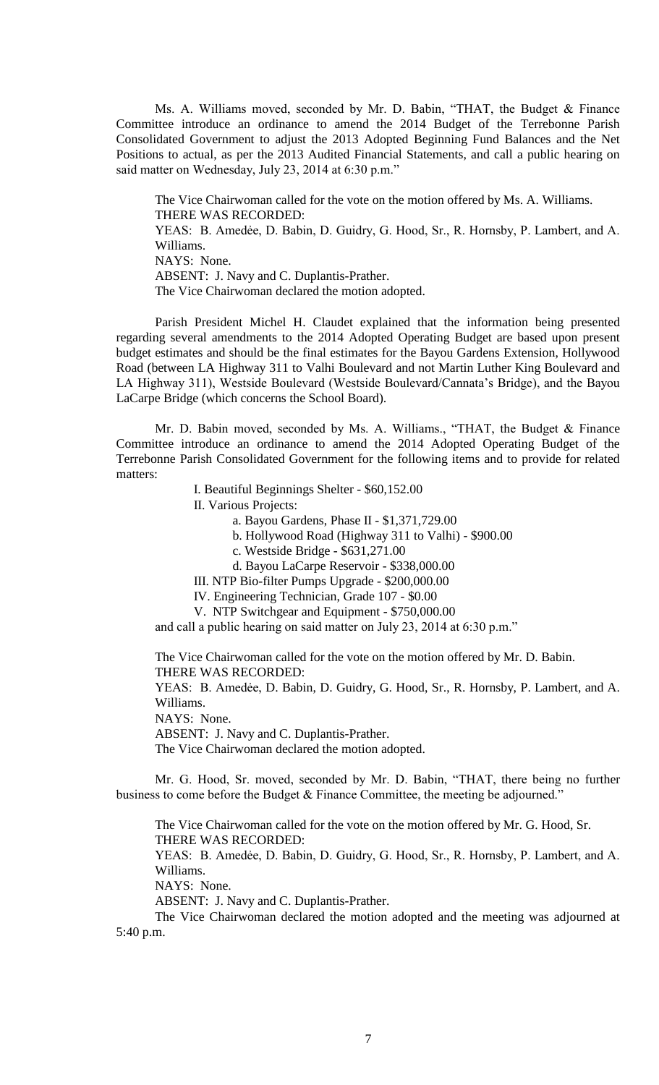Ms. A. Williams moved, seconded by Mr. D. Babin, "THAT, the Budget & Finance Committee introduce an ordinance to amend the 2014 Budget of the Terrebonne Parish Consolidated Government to adjust the 2013 Adopted Beginning Fund Balances and the Net Positions to actual, as per the 2013 Audited Financial Statements, and call a public hearing on said matter on Wednesday, July 23, 2014 at 6:30 p.m."

The Vice Chairwoman called for the vote on the motion offered by Ms. A. Williams. THERE WAS RECORDED: YEAS: B. Amedée, D. Babin, D. Guidry, G. Hood, Sr., R. Hornsby, P. Lambert, and A. Williams. NAYS: None. ABSENT: J. Navy and C. Duplantis-Prather. The Vice Chairwoman declared the motion adopted.

Parish President Michel H. Claudet explained that the information being presented regarding several amendments to the 2014 Adopted Operating Budget are based upon present budget estimates and should be the final estimates for the Bayou Gardens Extension, Hollywood Road (between LA Highway 311 to Valhi Boulevard and not Martin Luther King Boulevard and LA Highway 311), Westside Boulevard (Westside Boulevard/Cannata's Bridge), and the Bayou LaCarpe Bridge (which concerns the School Board).

Mr. D. Babin moved, seconded by Ms. A. Williams., "THAT, the Budget & Finance Committee introduce an ordinance to amend the 2014 Adopted Operating Budget of the Terrebonne Parish Consolidated Government for the following items and to provide for related matters:

I. Beautiful Beginnings Shelter - \$60,152.00

II. Various Projects:

a. Bayou Gardens, Phase II - \$1,371,729.00

b. Hollywood Road (Highway 311 to Valhi) - \$900.00

c. Westside Bridge - \$631,271.00

d. Bayou LaCarpe Reservoir - \$338,000.00

III. NTP Bio-filter Pumps Upgrade - \$200,000.00

IV. Engineering Technician, Grade 107 - \$0.00

V. NTP Switchgear and Equipment - \$750,000.00

and call a public hearing on said matter on July 23, 2014 at 6:30 p.m."

The Vice Chairwoman called for the vote on the motion offered by Mr. D. Babin. THERE WAS RECORDED:

YEAS: B. Amedée, D. Babin, D. Guidry, G. Hood, Sr., R. Hornsby, P. Lambert, and A. Williams.

NAYS: None.

ABSENT: J. Navy and C. Duplantis-Prather.

The Vice Chairwoman declared the motion adopted.

Mr. G. Hood, Sr. moved, seconded by Mr. D. Babin, "THAT, there being no further business to come before the Budget & Finance Committee, the meeting be adjourned."

The Vice Chairwoman called for the vote on the motion offered by Mr. G. Hood, Sr. THERE WAS RECORDED:

YEAS: B. Amedẻe, D. Babin, D. Guidry, G. Hood, Sr., R. Hornsby, P. Lambert, and A. Williams.

NAYS: None.

ABSENT: J. Navy and C. Duplantis-Prather.

The Vice Chairwoman declared the motion adopted and the meeting was adjourned at 5:40 p.m.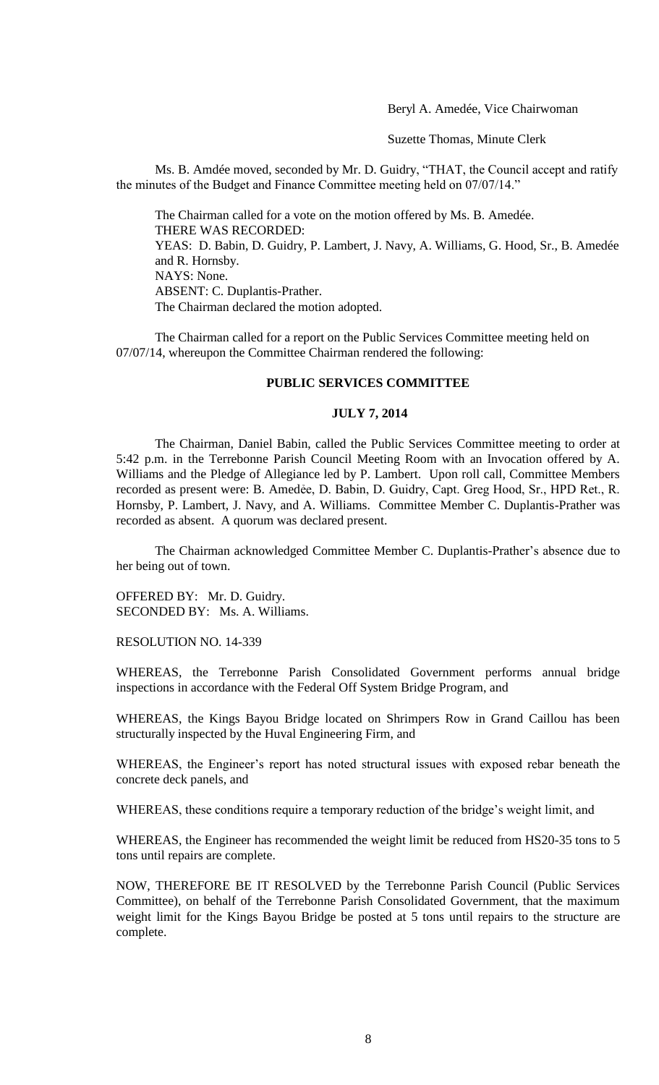Beryl A. Amedée, Vice Chairwoman

Suzette Thomas, Minute Clerk

Ms. B. Amdée moved, seconded by Mr. D. Guidry, "THAT, the Council accept and ratify the minutes of the Budget and Finance Committee meeting held on 07/07/14."

The Chairman called for a vote on the motion offered by Ms. B. Amedée. THERE WAS RECORDED: YEAS: D. Babin, D. Guidry, P. Lambert, J. Navy, A. Williams, G. Hood, Sr., B. Amedée and R. Hornsby. NAYS: None. ABSENT: C. Duplantis-Prather. The Chairman declared the motion adopted.

The Chairman called for a report on the Public Services Committee meeting held on 07/07/14, whereupon the Committee Chairman rendered the following:

### **PUBLIC SERVICES COMMITTEE**

### **JULY 7, 2014**

The Chairman, Daniel Babin, called the Public Services Committee meeting to order at 5:42 p.m. in the Terrebonne Parish Council Meeting Room with an Invocation offered by A. Williams and the Pledge of Allegiance led by P. Lambert. Upon roll call, Committee Members recorded as present were: B. Amedée, D. Babin, D. Guidry, Capt. Greg Hood, Sr., HPD Ret., R. Hornsby, P. Lambert, J. Navy, and A. Williams. Committee Member C. Duplantis-Prather was recorded as absent. A quorum was declared present.

The Chairman acknowledged Committee Member C. Duplantis-Prather's absence due to her being out of town.

OFFERED BY: Mr. D. Guidry. SECONDED BY: Ms. A. Williams.

RESOLUTION NO. 14-339

WHEREAS, the Terrebonne Parish Consolidated Government performs annual bridge inspections in accordance with the Federal Off System Bridge Program, and

WHEREAS, the Kings Bayou Bridge located on Shrimpers Row in Grand Caillou has been structurally inspected by the Huval Engineering Firm, and

WHEREAS, the Engineer's report has noted structural issues with exposed rebar beneath the concrete deck panels, and

WHEREAS, these conditions require a temporary reduction of the bridge's weight limit, and

WHEREAS, the Engineer has recommended the weight limit be reduced from HS20-35 tons to 5 tons until repairs are complete.

NOW, THEREFORE BE IT RESOLVED by the Terrebonne Parish Council (Public Services Committee), on behalf of the Terrebonne Parish Consolidated Government, that the maximum weight limit for the Kings Bayou Bridge be posted at 5 tons until repairs to the structure are complete.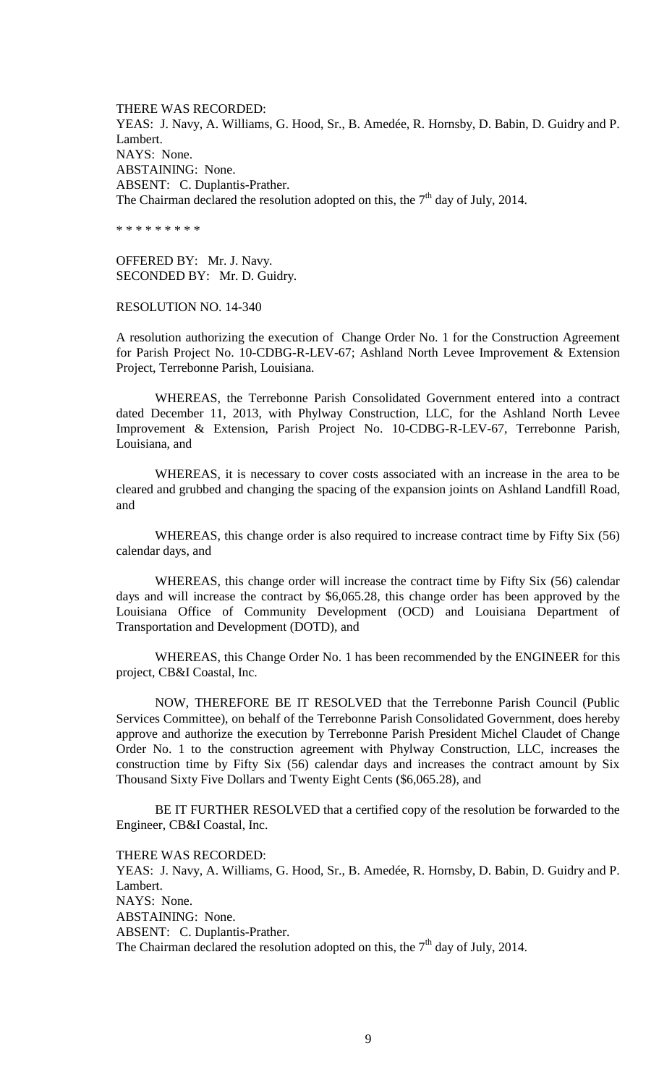THERE WAS RECORDED: YEAS: J. Navy, A. Williams, G. Hood, Sr., B. Amedée, R. Hornsby, D. Babin, D. Guidry and P. Lambert. NAYS: None. ABSTAINING: None. ABSENT: C. Duplantis-Prather. The Chairman declared the resolution adopted on this, the  $7<sup>th</sup>$  day of July, 2014.

\* \* \* \* \* \* \* \* \*

OFFERED BY: Mr. J. Navy. SECONDED BY: Mr. D. Guidry.

RESOLUTION NO. 14-340

A resolution authorizing the execution of Change Order No. 1 for the Construction Agreement for Parish Project No. 10-CDBG-R-LEV-67; Ashland North Levee Improvement & Extension Project, Terrebonne Parish, Louisiana.

WHEREAS, the Terrebonne Parish Consolidated Government entered into a contract dated December 11, 2013, with Phylway Construction, LLC, for the Ashland North Levee Improvement & Extension, Parish Project No. 10-CDBG-R-LEV-67, Terrebonne Parish, Louisiana, and

WHEREAS, it is necessary to cover costs associated with an increase in the area to be cleared and grubbed and changing the spacing of the expansion joints on Ashland Landfill Road, and

WHEREAS, this change order is also required to increase contract time by Fifty Six (56) calendar days, and

WHEREAS, this change order will increase the contract time by Fifty Six (56) calendar days and will increase the contract by \$6,065.28, this change order has been approved by the Louisiana Office of Community Development (OCD) and Louisiana Department of Transportation and Development (DOTD), and

WHEREAS, this Change Order No. 1 has been recommended by the ENGINEER for this project, CB&I Coastal, Inc.

NOW, THEREFORE BE IT RESOLVED that the Terrebonne Parish Council (Public Services Committee), on behalf of the Terrebonne Parish Consolidated Government, does hereby approve and authorize the execution by Terrebonne Parish President Michel Claudet of Change Order No. 1 to the construction agreement with Phylway Construction, LLC, increases the construction time by Fifty Six (56) calendar days and increases the contract amount by Six Thousand Sixty Five Dollars and Twenty Eight Cents (\$6,065.28), and

BE IT FURTHER RESOLVED that a certified copy of the resolution be forwarded to the Engineer, CB&I Coastal, Inc.

THERE WAS RECORDED:

YEAS: J. Navy, A. Williams, G. Hood, Sr., B. Amedée, R. Hornsby, D. Babin, D. Guidry and P. Lambert. NAYS: None. ABSTAINING: None. ABSENT: C. Duplantis-Prather. The Chairman declared the resolution adopted on this, the  $7<sup>th</sup>$  day of July, 2014.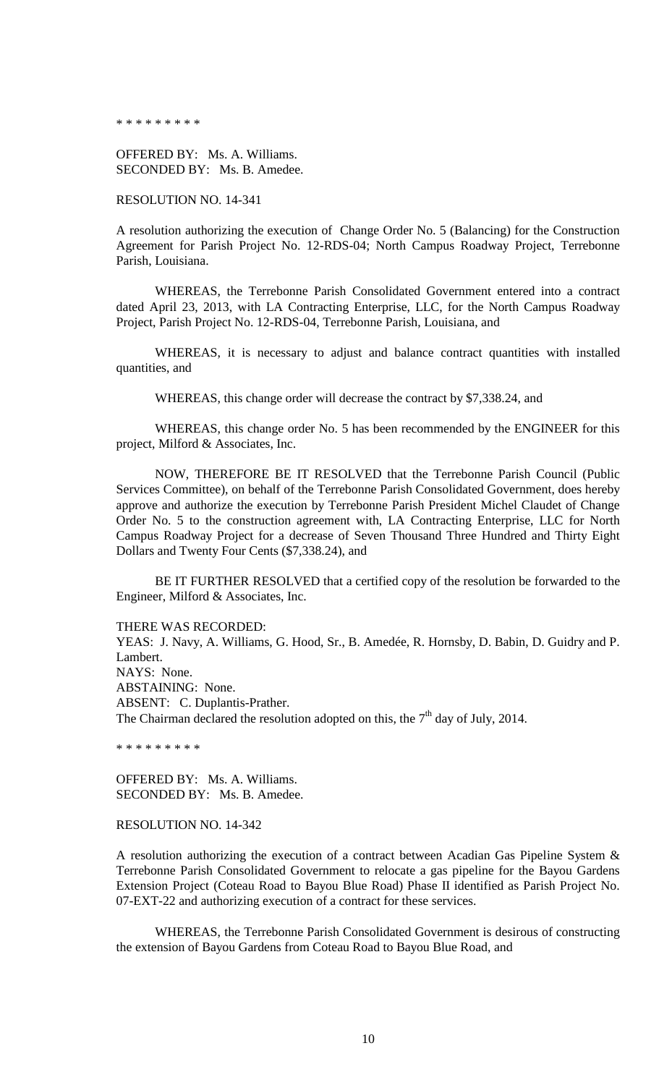\* \* \* \* \* \* \* \* \*

OFFERED BY: Ms. A. Williams. SECONDED BY: Ms. B. Amedee.

RESOLUTION NO. 14-341

A resolution authorizing the execution of Change Order No. 5 (Balancing) for the Construction Agreement for Parish Project No. 12-RDS-04; North Campus Roadway Project, Terrebonne Parish, Louisiana.

WHEREAS, the Terrebonne Parish Consolidated Government entered into a contract dated April 23, 2013, with LA Contracting Enterprise, LLC, for the North Campus Roadway Project, Parish Project No. 12-RDS-04, Terrebonne Parish, Louisiana, and

WHEREAS, it is necessary to adjust and balance contract quantities with installed quantities, and

WHEREAS, this change order will decrease the contract by \$7,338.24, and

WHEREAS, this change order No. 5 has been recommended by the ENGINEER for this project, Milford & Associates, Inc.

NOW, THEREFORE BE IT RESOLVED that the Terrebonne Parish Council (Public Services Committee), on behalf of the Terrebonne Parish Consolidated Government, does hereby approve and authorize the execution by Terrebonne Parish President Michel Claudet of Change Order No. 5 to the construction agreement with, LA Contracting Enterprise, LLC for North Campus Roadway Project for a decrease of Seven Thousand Three Hundred and Thirty Eight Dollars and Twenty Four Cents (\$7,338.24), and

BE IT FURTHER RESOLVED that a certified copy of the resolution be forwarded to the Engineer, Milford & Associates, Inc.

THERE WAS RECORDED:

YEAS: J. Navy, A. Williams, G. Hood, Sr., B. Amedée, R. Hornsby, D. Babin, D. Guidry and P. Lambert. NAYS: None. ABSTAINING: None. ABSENT: C. Duplantis-Prather. The Chairman declared the resolution adopted on this, the  $7<sup>th</sup>$  day of July, 2014.

\* \* \* \* \* \* \* \* \*

OFFERED BY: Ms. A. Williams. SECONDED BY: Ms. B. Amedee.

### RESOLUTION NO. 14-342

A resolution authorizing the execution of a contract between Acadian Gas Pipeline System & Terrebonne Parish Consolidated Government to relocate a gas pipeline for the Bayou Gardens Extension Project (Coteau Road to Bayou Blue Road) Phase II identified as Parish Project No. 07-EXT-22 and authorizing execution of a contract for these services.

WHEREAS, the Terrebonne Parish Consolidated Government is desirous of constructing the extension of Bayou Gardens from Coteau Road to Bayou Blue Road, and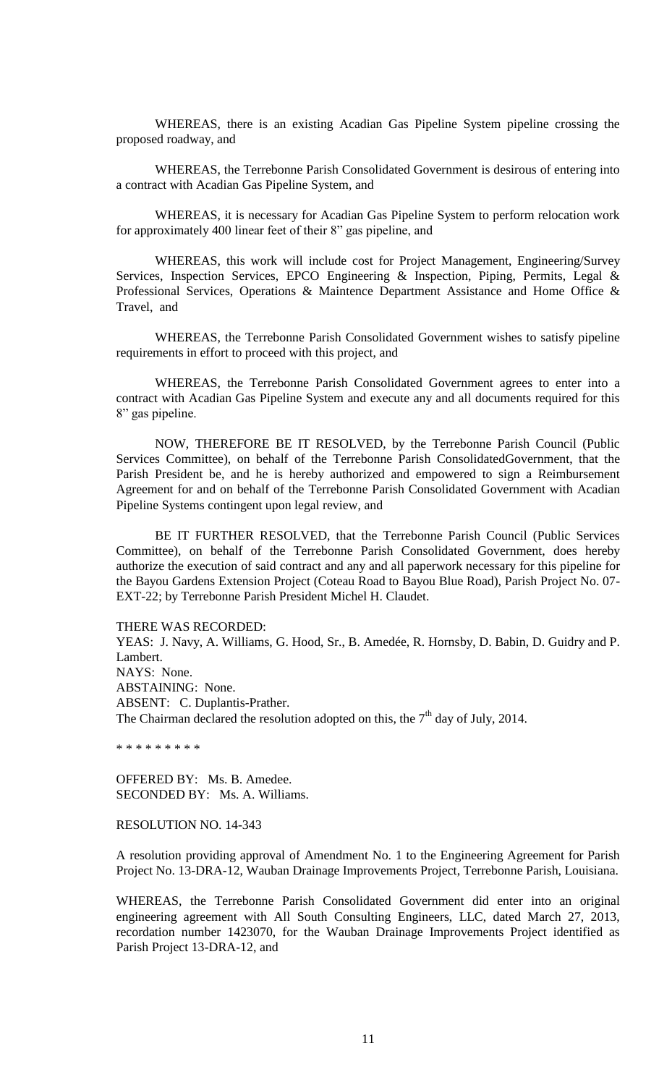WHEREAS, there is an existing Acadian Gas Pipeline System pipeline crossing the proposed roadway, and

WHEREAS, the Terrebonne Parish Consolidated Government is desirous of entering into a contract with Acadian Gas Pipeline System, and

WHEREAS, it is necessary for Acadian Gas Pipeline System to perform relocation work for approximately 400 linear feet of their 8" gas pipeline, and

WHEREAS, this work will include cost for Project Management, Engineering/Survey Services, Inspection Services, EPCO Engineering & Inspection, Piping, Permits, Legal & Professional Services, Operations & Maintence Department Assistance and Home Office & Travel, and

WHEREAS, the Terrebonne Parish Consolidated Government wishes to satisfy pipeline requirements in effort to proceed with this project, and

WHEREAS, the Terrebonne Parish Consolidated Government agrees to enter into a contract with Acadian Gas Pipeline System and execute any and all documents required for this 8" gas pipeline.

NOW, THEREFORE BE IT RESOLVED, by the Terrebonne Parish Council (Public Services Committee), on behalf of the Terrebonne Parish ConsolidatedGovernment, that the Parish President be, and he is hereby authorized and empowered to sign a Reimbursement Agreement for and on behalf of the Terrebonne Parish Consolidated Government with Acadian Pipeline Systems contingent upon legal review, and

BE IT FURTHER RESOLVED, that the Terrebonne Parish Council (Public Services Committee), on behalf of the Terrebonne Parish Consolidated Government, does hereby authorize the execution of said contract and any and all paperwork necessary for this pipeline for the Bayou Gardens Extension Project (Coteau Road to Bayou Blue Road), Parish Project No. 07- EXT-22; by Terrebonne Parish President Michel H. Claudet.

#### THERE WAS RECORDED:

YEAS: J. Navy, A. Williams, G. Hood, Sr., B. Amedée, R. Hornsby, D. Babin, D. Guidry and P. Lambert. NAYS: None. ABSTAINING: None. ABSENT: C. Duplantis-Prather. The Chairman declared the resolution adopted on this, the  $7<sup>th</sup>$  day of July, 2014.

\* \* \* \* \* \* \* \* \*

OFFERED BY: Ms. B. Amedee. SECONDED BY: Ms. A. Williams.

### RESOLUTION NO. 14-343

A resolution providing approval of Amendment No. 1 to the Engineering Agreement for Parish Project No. 13-DRA-12, Wauban Drainage Improvements Project, Terrebonne Parish, Louisiana.

WHEREAS, the Terrebonne Parish Consolidated Government did enter into an original engineering agreement with All South Consulting Engineers, LLC, dated March 27, 2013, recordation number 1423070, for the Wauban Drainage Improvements Project identified as Parish Project 13-DRA-12, and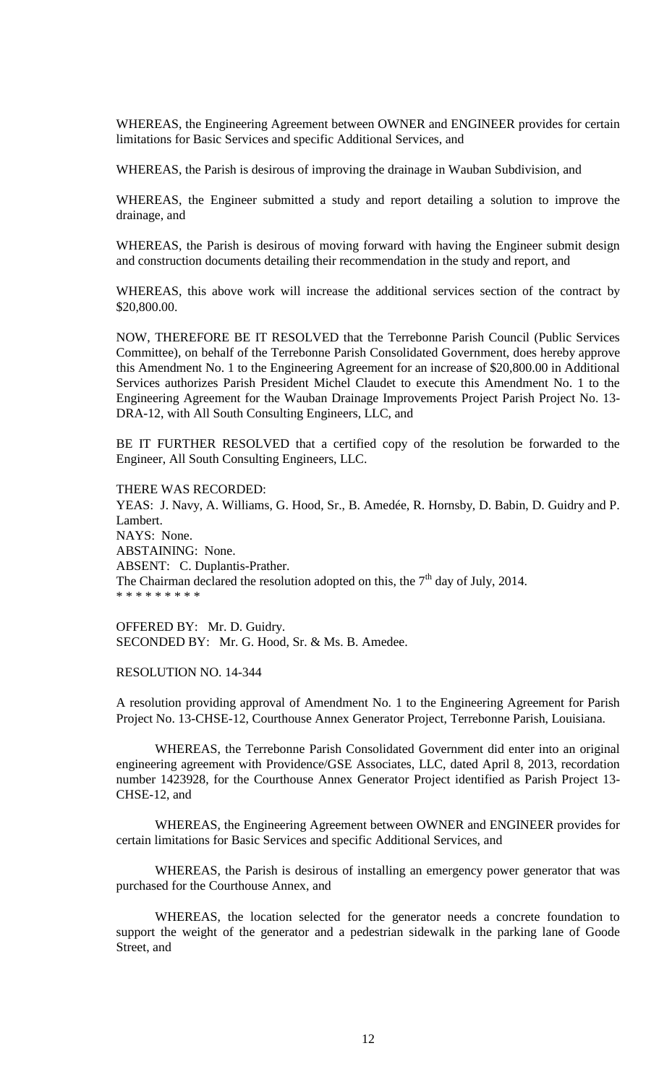WHEREAS, the Engineering Agreement between OWNER and ENGINEER provides for certain limitations for Basic Services and specific Additional Services, and

WHEREAS, the Parish is desirous of improving the drainage in Wauban Subdivision, and

WHEREAS, the Engineer submitted a study and report detailing a solution to improve the drainage, and

WHEREAS, the Parish is desirous of moving forward with having the Engineer submit design and construction documents detailing their recommendation in the study and report, and

WHEREAS, this above work will increase the additional services section of the contract by \$20,800.00.

NOW, THEREFORE BE IT RESOLVED that the Terrebonne Parish Council (Public Services Committee), on behalf of the Terrebonne Parish Consolidated Government, does hereby approve this Amendment No. 1 to the Engineering Agreement for an increase of \$20,800.00 in Additional Services authorizes Parish President Michel Claudet to execute this Amendment No. 1 to the Engineering Agreement for the Wauban Drainage Improvements Project Parish Project No. 13- DRA-12, with All South Consulting Engineers, LLC, and

BE IT FURTHER RESOLVED that a certified copy of the resolution be forwarded to the Engineer, All South Consulting Engineers, LLC.

THERE WAS RECORDED:

YEAS: J. Navy, A. Williams, G. Hood, Sr., B. Amedée, R. Hornsby, D. Babin, D. Guidry and P. Lambert. NAYS: None. ABSTAINING: None. ABSENT: C. Duplantis-Prather. The Chairman declared the resolution adopted on this, the  $7<sup>th</sup>$  day of July, 2014. \* \* \* \* \* \* \* \* \*

OFFERED BY: Mr. D. Guidry. SECONDED BY: Mr. G. Hood, Sr. & Ms. B. Amedee.

RESOLUTION NO. 14-344

A resolution providing approval of Amendment No. 1 to the Engineering Agreement for Parish Project No. 13-CHSE-12, Courthouse Annex Generator Project, Terrebonne Parish, Louisiana.

WHEREAS, the Terrebonne Parish Consolidated Government did enter into an original engineering agreement with Providence/GSE Associates, LLC, dated April 8, 2013, recordation number 1423928, for the Courthouse Annex Generator Project identified as Parish Project 13- CHSE-12, and

WHEREAS, the Engineering Agreement between OWNER and ENGINEER provides for certain limitations for Basic Services and specific Additional Services, and

WHEREAS, the Parish is desirous of installing an emergency power generator that was purchased for the Courthouse Annex, and

WHEREAS, the location selected for the generator needs a concrete foundation to support the weight of the generator and a pedestrian sidewalk in the parking lane of Goode Street, and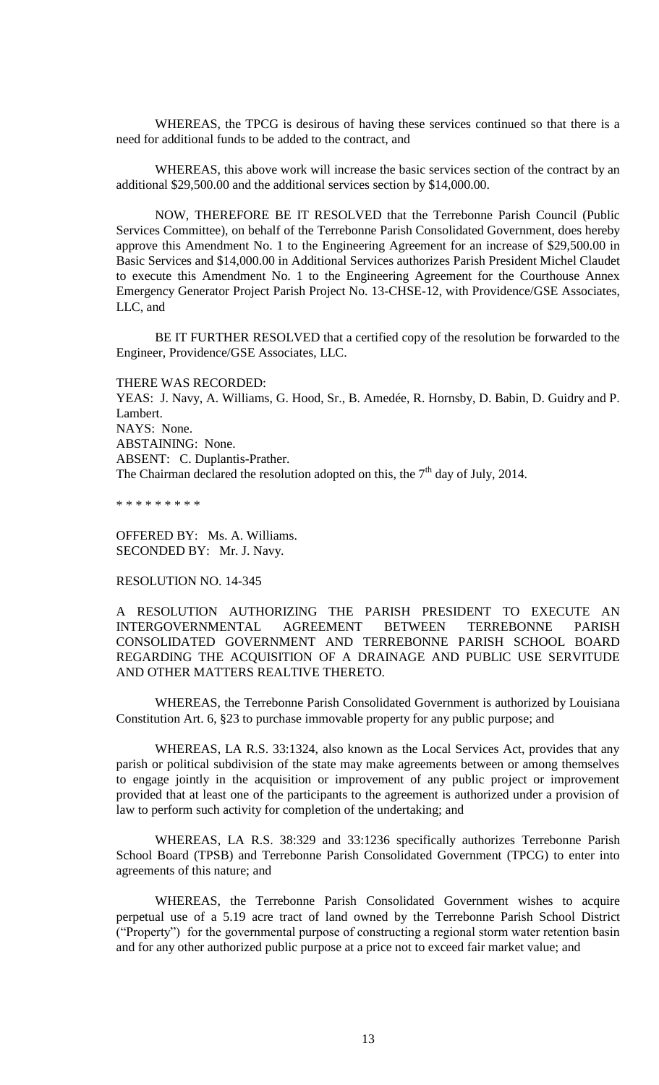WHEREAS, the TPCG is desirous of having these services continued so that there is a need for additional funds to be added to the contract, and

WHEREAS, this above work will increase the basic services section of the contract by an additional \$29,500.00 and the additional services section by \$14,000.00.

NOW, THEREFORE BE IT RESOLVED that the Terrebonne Parish Council (Public Services Committee), on behalf of the Terrebonne Parish Consolidated Government, does hereby approve this Amendment No. 1 to the Engineering Agreement for an increase of \$29,500.00 in Basic Services and \$14,000.00 in Additional Services authorizes Parish President Michel Claudet to execute this Amendment No. 1 to the Engineering Agreement for the Courthouse Annex Emergency Generator Project Parish Project No. 13-CHSE-12, with Providence/GSE Associates, LLC, and

BE IT FURTHER RESOLVED that a certified copy of the resolution be forwarded to the Engineer, Providence/GSE Associates, LLC.

THERE WAS RECORDED: YEAS: J. Navy, A. Williams, G. Hood, Sr., B. Amedée, R. Hornsby, D. Babin, D. Guidry and P.

Lambert. NAYS: None. ABSTAINING: None.

ABSENT: C. Duplantis-Prather.

The Chairman declared the resolution adopted on this, the  $7<sup>th</sup>$  day of July, 2014.

\* \* \* \* \* \* \* \* \*

OFFERED BY: Ms. A. Williams. SECONDED BY: Mr. J. Navy.

#### RESOLUTION NO. 14-345

A RESOLUTION AUTHORIZING THE PARISH PRESIDENT TO EXECUTE AN INTERGOVERNMENTAL AGREEMENT BETWEEN TERREBONNE PARISH CONSOLIDATED GOVERNMENT AND TERREBONNE PARISH SCHOOL BOARD REGARDING THE ACQUISITION OF A DRAINAGE AND PUBLIC USE SERVITUDE AND OTHER MATTERS REALTIVE THERETO.

WHEREAS, the Terrebonne Parish Consolidated Government is authorized by Louisiana Constitution Art. 6, §23 to purchase immovable property for any public purpose; and

WHEREAS, LA R.S. 33:1324, also known as the Local Services Act, provides that any parish or political subdivision of the state may make agreements between or among themselves to engage jointly in the acquisition or improvement of any public project or improvement provided that at least one of the participants to the agreement is authorized under a provision of law to perform such activity for completion of the undertaking; and

WHEREAS, LA R.S. 38:329 and 33:1236 specifically authorizes Terrebonne Parish School Board (TPSB) and Terrebonne Parish Consolidated Government (TPCG) to enter into agreements of this nature; and

WHEREAS, the Terrebonne Parish Consolidated Government wishes to acquire perpetual use of a 5.19 acre tract of land owned by the Terrebonne Parish School District ("Property") for the governmental purpose of constructing a regional storm water retention basin and for any other authorized public purpose at a price not to exceed fair market value; and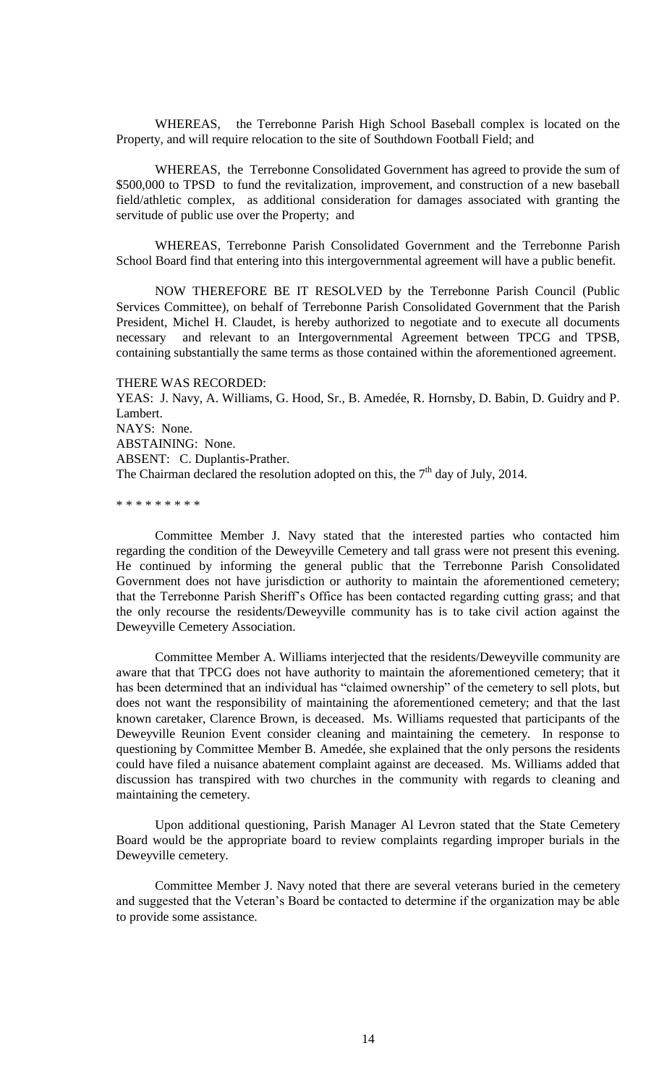WHEREAS, the Terrebonne Parish High School Baseball complex is located on the Property, and will require relocation to the site of Southdown Football Field; and

WHEREAS, the Terrebonne Consolidated Government has agreed to provide the sum of \$500,000 to TPSD to fund the revitalization, improvement, and construction of a new baseball field/athletic complex, as additional consideration for damages associated with granting the servitude of public use over the Property; and

WHEREAS, Terrebonne Parish Consolidated Government and the Terrebonne Parish School Board find that entering into this intergovernmental agreement will have a public benefit.

NOW THEREFORE BE IT RESOLVED by the Terrebonne Parish Council (Public Services Committee), on behalf of Terrebonne Parish Consolidated Government that the Parish President, Michel H. Claudet, is hereby authorized to negotiate and to execute all documents necessary and relevant to an Intergovernmental Agreement between TPCG and TPSB, containing substantially the same terms as those contained within the aforementioned agreement.

THERE WAS RECORDED: YEAS: J. Navy, A. Williams, G. Hood, Sr., B. Amedée, R. Hornsby, D. Babin, D. Guidry and P. Lambert. NAYS: None. ABSTAINING: None. ABSENT: C. Duplantis-Prather. The Chairman declared the resolution adopted on this, the  $7<sup>th</sup>$  day of July, 2014.

\* \* \* \* \* \* \* \* \*

Committee Member J. Navy stated that the interested parties who contacted him regarding the condition of the Deweyville Cemetery and tall grass were not present this evening. He continued by informing the general public that the Terrebonne Parish Consolidated Government does not have jurisdiction or authority to maintain the aforementioned cemetery; that the Terrebonne Parish Sheriff's Office has been contacted regarding cutting grass; and that the only recourse the residents/Deweyville community has is to take civil action against the Deweyville Cemetery Association.

Committee Member A. Williams interjected that the residents/Deweyville community are aware that that TPCG does not have authority to maintain the aforementioned cemetery; that it has been determined that an individual has "claimed ownership" of the cemetery to sell plots, but does not want the responsibility of maintaining the aforementioned cemetery; and that the last known caretaker, Clarence Brown, is deceased. Ms. Williams requested that participants of the Deweyville Reunion Event consider cleaning and maintaining the cemetery. In response to questioning by Committee Member B. Amedée, she explained that the only persons the residents could have filed a nuisance abatement complaint against are deceased. Ms. Williams added that discussion has transpired with two churches in the community with regards to cleaning and maintaining the cemetery.

Upon additional questioning, Parish Manager Al Levron stated that the State Cemetery Board would be the appropriate board to review complaints regarding improper burials in the Deweyville cemetery.

Committee Member J. Navy noted that there are several veterans buried in the cemetery and suggested that the Veteran's Board be contacted to determine if the organization may be able to provide some assistance.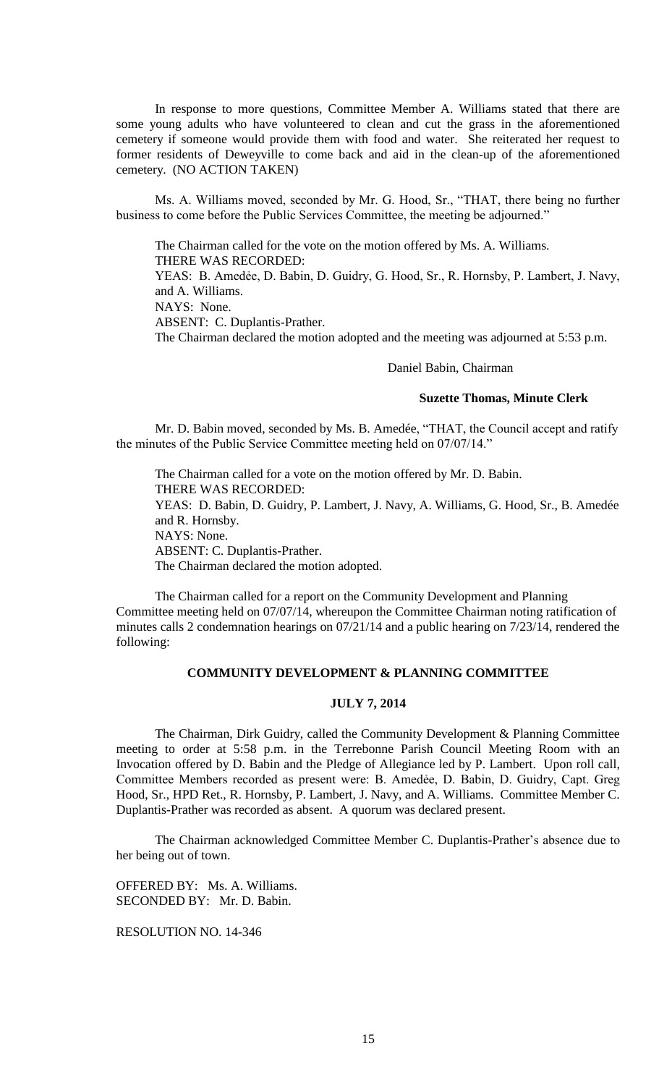In response to more questions, Committee Member A. Williams stated that there are some young adults who have volunteered to clean and cut the grass in the aforementioned cemetery if someone would provide them with food and water. She reiterated her request to former residents of Deweyville to come back and aid in the clean-up of the aforementioned cemetery. (NO ACTION TAKEN)

Ms. A. Williams moved, seconded by Mr. G. Hood, Sr., "THAT, there being no further business to come before the Public Services Committee, the meeting be adjourned."

The Chairman called for the vote on the motion offered by Ms. A. Williams. THERE WAS RECORDED: YEAS: B. Amedėe, D. Babin, D. Guidry, G. Hood, Sr., R. Hornsby, P. Lambert, J. Navy, and A. Williams. NAYS: None. ABSENT: C. Duplantis-Prather. The Chairman declared the motion adopted and the meeting was adjourned at 5:53 p.m.

### Daniel Babin, Chairman

### **Suzette Thomas, Minute Clerk**

Mr. D. Babin moved, seconded by Ms. B. Amedée, "THAT, the Council accept and ratify the minutes of the Public Service Committee meeting held on 07/07/14."

The Chairman called for a vote on the motion offered by Mr. D. Babin. THERE WAS RECORDED: YEAS: D. Babin, D. Guidry, P. Lambert, J. Navy, A. Williams, G. Hood, Sr., B. Amedée and R. Hornsby. NAYS: None. ABSENT: C. Duplantis-Prather. The Chairman declared the motion adopted.

The Chairman called for a report on the Community Development and Planning Committee meeting held on 07/07/14, whereupon the Committee Chairman noting ratification of minutes calls 2 condemnation hearings on 07/21/14 and a public hearing on 7/23/14, rendered the following:

## **COMMUNITY DEVELOPMENT & PLANNING COMMITTEE**

## **JULY 7, 2014**

The Chairman, Dirk Guidry, called the Community Development & Planning Committee meeting to order at 5:58 p.m. in the Terrebonne Parish Council Meeting Room with an Invocation offered by D. Babin and the Pledge of Allegiance led by P. Lambert. Upon roll call, Committee Members recorded as present were: B. Amedẻe, D. Babin, D. Guidry, Capt. Greg Hood, Sr., HPD Ret., R. Hornsby, P. Lambert, J. Navy, and A. Williams. Committee Member C. Duplantis-Prather was recorded as absent. A quorum was declared present.

The Chairman acknowledged Committee Member C. Duplantis-Prather's absence due to her being out of town.

OFFERED BY: Ms. A. Williams. SECONDED BY: Mr. D. Babin.

RESOLUTION NO. 14-346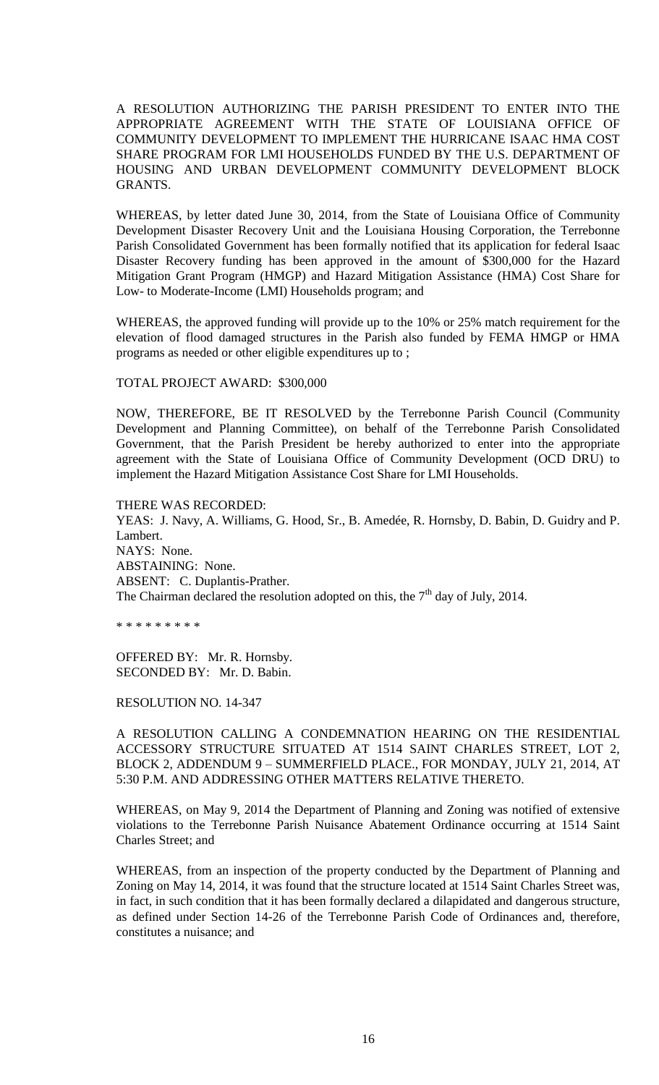A RESOLUTION AUTHORIZING THE PARISH PRESIDENT TO ENTER INTO THE APPROPRIATE AGREEMENT WITH THE STATE OF LOUISIANA OFFICE OF COMMUNITY DEVELOPMENT TO IMPLEMENT THE HURRICANE ISAAC HMA COST SHARE PROGRAM FOR LMI HOUSEHOLDS FUNDED BY THE U.S. DEPARTMENT OF HOUSING AND URBAN DEVELOPMENT COMMUNITY DEVELOPMENT BLOCK GRANTS.

WHEREAS, by letter dated June 30, 2014, from the State of Louisiana Office of Community Development Disaster Recovery Unit and the Louisiana Housing Corporation, the Terrebonne Parish Consolidated Government has been formally notified that its application for federal Isaac Disaster Recovery funding has been approved in the amount of \$300,000 for the Hazard Mitigation Grant Program (HMGP) and Hazard Mitigation Assistance (HMA) Cost Share for Low- to Moderate-Income (LMI) Households program; and

WHEREAS, the approved funding will provide up to the 10% or 25% match requirement for the elevation of flood damaged structures in the Parish also funded by FEMA HMGP or HMA programs as needed or other eligible expenditures up to ;

TOTAL PROJECT AWARD: \$300,000

NOW, THEREFORE, BE IT RESOLVED by the Terrebonne Parish Council (Community Development and Planning Committee), on behalf of the Terrebonne Parish Consolidated Government, that the Parish President be hereby authorized to enter into the appropriate agreement with the State of Louisiana Office of Community Development (OCD DRU) to implement the Hazard Mitigation Assistance Cost Share for LMI Households.

THERE WAS RECORDED:

YEAS: J. Navy, A. Williams, G. Hood, Sr., B. Amedée, R. Hornsby, D. Babin, D. Guidry and P. Lambert. NAYS: None. ABSTAINING: None. ABSENT: C. Duplantis-Prather. The Chairman declared the resolution adopted on this, the  $7<sup>th</sup>$  day of July, 2014.

\* \* \* \* \* \* \* \* \*

OFFERED BY: Mr. R. Hornsby. SECONDED BY: Mr. D. Babin.

RESOLUTION NO. 14-347

A RESOLUTION CALLING A CONDEMNATION HEARING ON THE RESIDENTIAL ACCESSORY STRUCTURE SITUATED AT 1514 SAINT CHARLES STREET, LOT 2, BLOCK 2, ADDENDUM 9 – SUMMERFIELD PLACE., FOR MONDAY, JULY 21, 2014, AT 5:30 P.M. AND ADDRESSING OTHER MATTERS RELATIVE THERETO.

WHEREAS, on May 9, 2014 the Department of Planning and Zoning was notified of extensive violations to the Terrebonne Parish Nuisance Abatement Ordinance occurring at 1514 Saint Charles Street; and

WHEREAS, from an inspection of the property conducted by the Department of Planning and Zoning on May 14, 2014, it was found that the structure located at 1514 Saint Charles Street was, in fact, in such condition that it has been formally declared a dilapidated and dangerous structure, as defined under Section 14-26 of the Terrebonne Parish Code of Ordinances and, therefore, constitutes a nuisance; and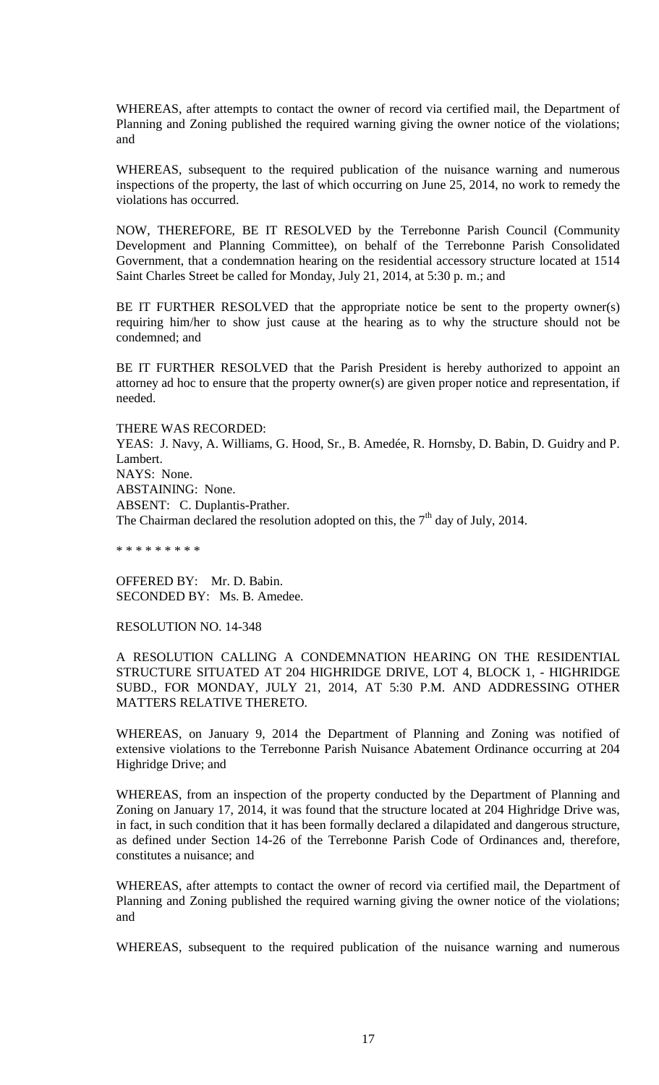WHEREAS, after attempts to contact the owner of record via certified mail, the Department of Planning and Zoning published the required warning giving the owner notice of the violations; and

WHEREAS, subsequent to the required publication of the nuisance warning and numerous inspections of the property, the last of which occurring on June 25, 2014, no work to remedy the violations has occurred.

NOW, THEREFORE, BE IT RESOLVED by the Terrebonne Parish Council (Community Development and Planning Committee), on behalf of the Terrebonne Parish Consolidated Government, that a condemnation hearing on the residential accessory structure located at 1514 Saint Charles Street be called for Monday, July 21, 2014, at 5:30 p. m.; and

BE IT FURTHER RESOLVED that the appropriate notice be sent to the property owner(s) requiring him/her to show just cause at the hearing as to why the structure should not be condemned; and

BE IT FURTHER RESOLVED that the Parish President is hereby authorized to appoint an attorney ad hoc to ensure that the property owner(s) are given proper notice and representation, if needed.

THERE WAS RECORDED: YEAS: J. Navy, A. Williams, G. Hood, Sr., B. Amedée, R. Hornsby, D. Babin, D. Guidry and P. Lambert. NAYS: None. ABSTAINING: None. ABSENT: C. Duplantis-Prather. The Chairman declared the resolution adopted on this, the  $7<sup>th</sup>$  day of July, 2014.

\* \* \* \* \* \* \* \* \*

OFFERED BY: Mr. D. Babin. SECONDED BY: Ms. B. Amedee.

RESOLUTION NO. 14-348

A RESOLUTION CALLING A CONDEMNATION HEARING ON THE RESIDENTIAL STRUCTURE SITUATED AT 204 HIGHRIDGE DRIVE, LOT 4, BLOCK 1, - HIGHRIDGE SUBD., FOR MONDAY, JULY 21, 2014, AT 5:30 P.M. AND ADDRESSING OTHER MATTERS RELATIVE THERETO.

WHEREAS, on January 9, 2014 the Department of Planning and Zoning was notified of extensive violations to the Terrebonne Parish Nuisance Abatement Ordinance occurring at 204 Highridge Drive; and

WHEREAS, from an inspection of the property conducted by the Department of Planning and Zoning on January 17, 2014, it was found that the structure located at 204 Highridge Drive was, in fact, in such condition that it has been formally declared a dilapidated and dangerous structure, as defined under Section 14-26 of the Terrebonne Parish Code of Ordinances and, therefore, constitutes a nuisance; and

WHEREAS, after attempts to contact the owner of record via certified mail, the Department of Planning and Zoning published the required warning giving the owner notice of the violations; and

WHEREAS, subsequent to the required publication of the nuisance warning and numerous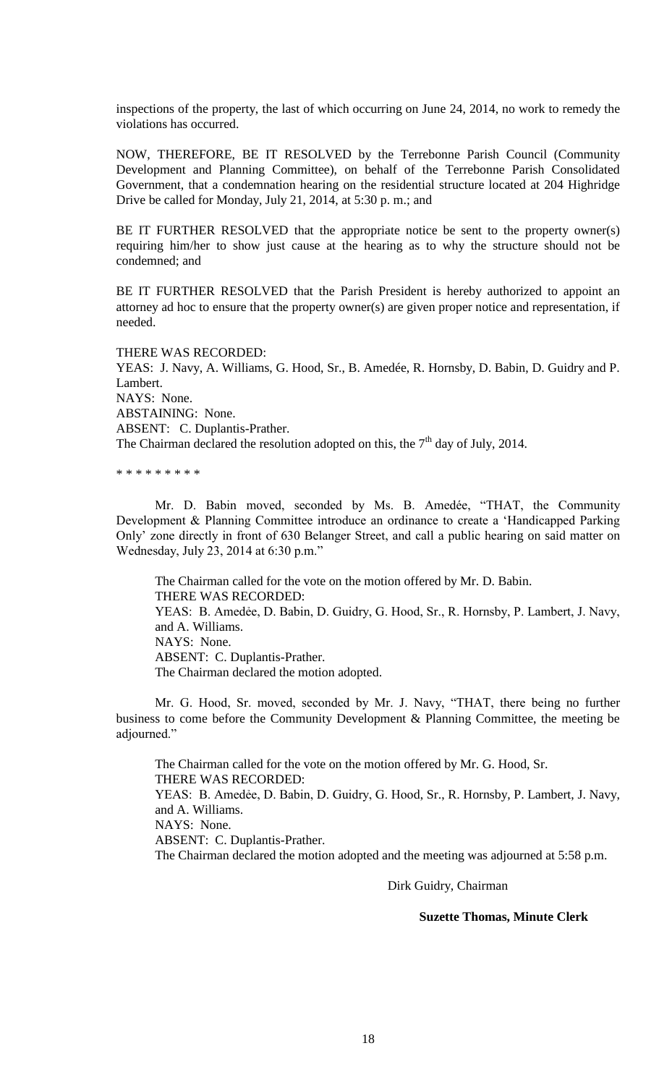inspections of the property, the last of which occurring on June 24, 2014, no work to remedy the violations has occurred.

NOW, THEREFORE, BE IT RESOLVED by the Terrebonne Parish Council (Community Development and Planning Committee), on behalf of the Terrebonne Parish Consolidated Government, that a condemnation hearing on the residential structure located at 204 Highridge Drive be called for Monday, July 21, 2014, at 5:30 p. m.; and

BE IT FURTHER RESOLVED that the appropriate notice be sent to the property owner(s) requiring him/her to show just cause at the hearing as to why the structure should not be condemned; and

BE IT FURTHER RESOLVED that the Parish President is hereby authorized to appoint an attorney ad hoc to ensure that the property owner(s) are given proper notice and representation, if needed.

THERE WAS RECORDED:

YEAS: J. Navy, A. Williams, G. Hood, Sr., B. Amedée, R. Hornsby, D. Babin, D. Guidry and P. Lambert. NAYS: None. ABSTAINING: None. ABSENT: C. Duplantis-Prather. The Chairman declared the resolution adopted on this, the  $7<sup>th</sup>$  day of July, 2014.

\* \* \* \* \* \* \* \* \*

Mr. D. Babin moved, seconded by Ms. B. Amedée, "THAT, the Community Development & Planning Committee introduce an ordinance to create a 'Handicapped Parking Only' zone directly in front of 630 Belanger Street, and call a public hearing on said matter on Wednesday, July 23, 2014 at 6:30 p.m."

The Chairman called for the vote on the motion offered by Mr. D. Babin. THERE WAS RECORDED: YEAS: B. Amedẻe, D. Babin, D. Guidry, G. Hood, Sr., R. Hornsby, P. Lambert, J. Navy, and A. Williams. NAYS: None. ABSENT: C. Duplantis-Prather. The Chairman declared the motion adopted.

Mr. G. Hood, Sr. moved, seconded by Mr. J. Navy, "THAT, there being no further business to come before the Community Development & Planning Committee, the meeting be adjourned."

The Chairman called for the vote on the motion offered by Mr. G. Hood, Sr. THERE WAS RECORDED: YEAS: B. Amedẻe, D. Babin, D. Guidry, G. Hood, Sr., R. Hornsby, P. Lambert, J. Navy, and A. Williams. NAYS: None. ABSENT: C. Duplantis-Prather. The Chairman declared the motion adopted and the meeting was adjourned at 5:58 p.m.

Dirk Guidry, Chairman

# **Suzette Thomas, Minute Clerk**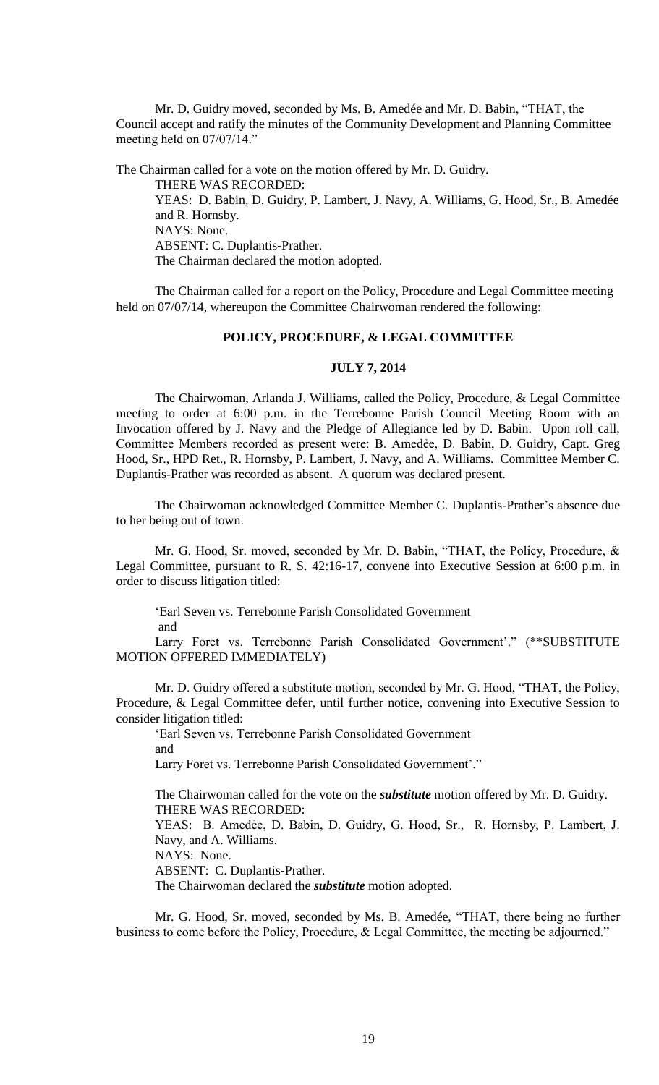Mr. D. Guidry moved, seconded by Ms. B. Amedée and Mr. D. Babin, "THAT, the Council accept and ratify the minutes of the Community Development and Planning Committee meeting held on 07/07/14."

The Chairman called for a vote on the motion offered by Mr. D. Guidry.

THERE WAS RECORDED: YEAS: D. Babin, D. Guidry, P. Lambert, J. Navy, A. Williams, G. Hood, Sr., B. Amedée and R. Hornsby. NAYS: None. ABSENT: C. Duplantis-Prather. The Chairman declared the motion adopted.

The Chairman called for a report on the Policy, Procedure and Legal Committee meeting held on 07/07/14, whereupon the Committee Chairwoman rendered the following:

# **POLICY, PROCEDURE, & LEGAL COMMITTEE**

### **JULY 7, 2014**

The Chairwoman, Arlanda J. Williams, called the Policy, Procedure, & Legal Committee meeting to order at 6:00 p.m. in the Terrebonne Parish Council Meeting Room with an Invocation offered by J. Navy and the Pledge of Allegiance led by D. Babin. Upon roll call, Committee Members recorded as present were: B. Amedẻe, D. Babin, D. Guidry, Capt. Greg Hood, Sr., HPD Ret., R. Hornsby, P. Lambert, J. Navy, and A. Williams. Committee Member C. Duplantis-Prather was recorded as absent. A quorum was declared present.

The Chairwoman acknowledged Committee Member C. Duplantis-Prather's absence due to her being out of town.

Mr. G. Hood, Sr. moved, seconded by Mr. D. Babin, "THAT, the Policy, Procedure, & Legal Committee, pursuant to R. S. 42:16-17, convene into Executive Session at 6:00 p.m. in order to discuss litigation titled:

'Earl Seven vs. Terrebonne Parish Consolidated Government and

Larry Foret vs. Terrebonne Parish Consolidated Government'." (\*\*SUBSTITUTE MOTION OFFERED IMMEDIATELY)

Mr. D. Guidry offered a substitute motion, seconded by Mr. G. Hood, "THAT, the Policy, Procedure, & Legal Committee defer, until further notice, convening into Executive Session to consider litigation titled:

'Earl Seven vs. Terrebonne Parish Consolidated Government and

Larry Foret vs. Terrebonne Parish Consolidated Government'."

The Chairwoman called for the vote on the *substitute* motion offered by Mr. D. Guidry. THERE WAS RECORDED:

YEAS: B. Amedėe, D. Babin, D. Guidry, G. Hood, Sr., R. Hornsby, P. Lambert, J. Navy, and A. Williams.

NAYS: None.

ABSENT: C. Duplantis-Prather.

The Chairwoman declared the *substitute* motion adopted.

Mr. G. Hood, Sr. moved, seconded by Ms. B. Amedée, "THAT, there being no further business to come before the Policy, Procedure, & Legal Committee, the meeting be adjourned."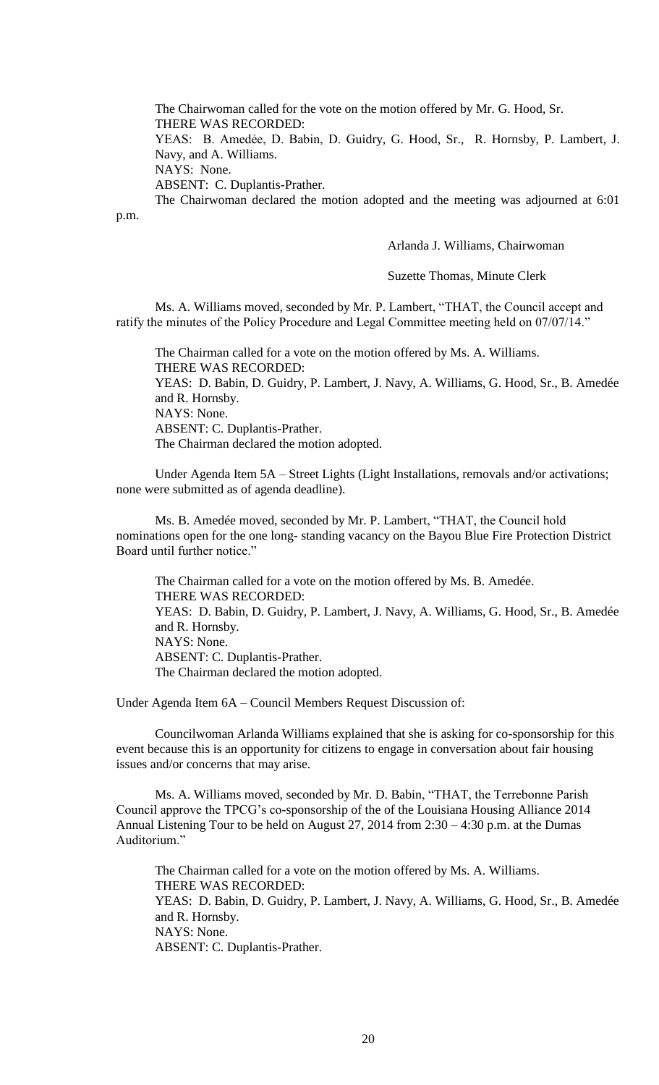The Chairwoman called for the vote on the motion offered by Mr. G. Hood, Sr. THERE WAS RECORDED:

YEAS: B. Amedėe, D. Babin, D. Guidry, G. Hood, Sr., R. Hornsby, P. Lambert, J. Navy, and A. Williams.

NAYS: None.

p.m.

ABSENT: C. Duplantis-Prather.

The Chairwoman declared the motion adopted and the meeting was adjourned at 6:01

Arlanda J. Williams, Chairwoman

Suzette Thomas, Minute Clerk

Ms. A. Williams moved, seconded by Mr. P. Lambert, "THAT, the Council accept and ratify the minutes of the Policy Procedure and Legal Committee meeting held on 07/07/14."

The Chairman called for a vote on the motion offered by Ms. A. Williams. THERE WAS RECORDED: YEAS: D. Babin, D. Guidry, P. Lambert, J. Navy, A. Williams, G. Hood, Sr., B. Amedée and R. Hornsby. NAYS: None. ABSENT: C. Duplantis-Prather. The Chairman declared the motion adopted.

Under Agenda Item 5A – Street Lights (Light Installations, removals and/or activations; none were submitted as of agenda deadline).

Ms. B. Amedée moved, seconded by Mr. P. Lambert, "THAT, the Council hold nominations open for the one long- standing vacancy on the Bayou Blue Fire Protection District Board until further notice."

The Chairman called for a vote on the motion offered by Ms. B. Amedée. THERE WAS RECORDED: YEAS: D. Babin, D. Guidry, P. Lambert, J. Navy, A. Williams, G. Hood, Sr., B. Amedée and R. Hornsby. NAYS: None. ABSENT: C. Duplantis-Prather. The Chairman declared the motion adopted.

Under Agenda Item 6A – Council Members Request Discussion of:

Councilwoman Arlanda Williams explained that she is asking for co-sponsorship for this event because this is an opportunity for citizens to engage in conversation about fair housing issues and/or concerns that may arise.

Ms. A. Williams moved, seconded by Mr. D. Babin, "THAT, the Terrebonne Parish Council approve the TPCG's co-sponsorship of the of the Louisiana Housing Alliance 2014 Annual Listening Tour to be held on August 27, 2014 from 2:30 – 4:30 p.m. at the Dumas Auditorium."

The Chairman called for a vote on the motion offered by Ms. A. Williams. THERE WAS RECORDED: YEAS: D. Babin, D. Guidry, P. Lambert, J. Navy, A. Williams, G. Hood, Sr., B. Amedée and R. Hornsby. NAYS: None. ABSENT: C. Duplantis-Prather.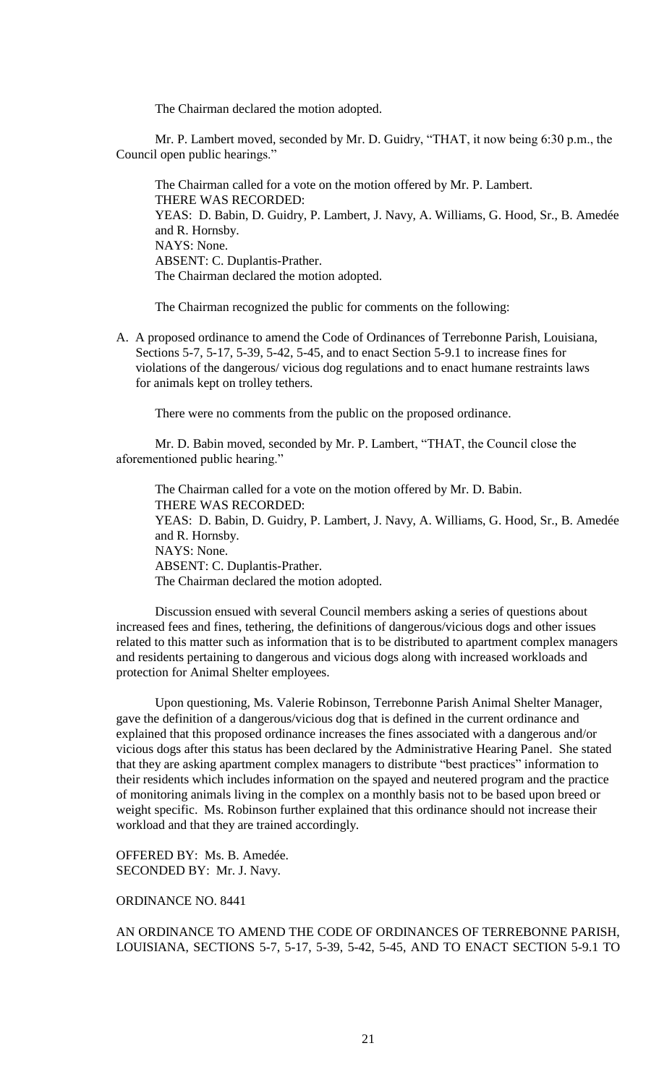The Chairman declared the motion adopted.

Mr. P. Lambert moved, seconded by Mr. D. Guidry, "THAT, it now being 6:30 p.m., the Council open public hearings."

The Chairman called for a vote on the motion offered by Mr. P. Lambert. THERE WAS RECORDED: YEAS: D. Babin, D. Guidry, P. Lambert, J. Navy, A. Williams, G. Hood, Sr., B. Amedée and R. Hornsby. NAYS: None. ABSENT: C. Duplantis-Prather. The Chairman declared the motion adopted.

The Chairman recognized the public for comments on the following:

A. A proposed ordinance to amend the Code of Ordinances of Terrebonne Parish, Louisiana, Sections 5-7, 5-17, 5-39, 5-42, 5-45, and to enact Section 5-9.1 to increase fines for violations of the dangerous/ vicious dog regulations and to enact humane restraints laws for animals kept on trolley tethers.

There were no comments from the public on the proposed ordinance.

Mr. D. Babin moved, seconded by Mr. P. Lambert, "THAT, the Council close the aforementioned public hearing."

The Chairman called for a vote on the motion offered by Mr. D. Babin. THERE WAS RECORDED: YEAS: D. Babin, D. Guidry, P. Lambert, J. Navy, A. Williams, G. Hood, Sr., B. Amedée and R. Hornsby. NAYS: None. ABSENT: C. Duplantis-Prather. The Chairman declared the motion adopted.

Discussion ensued with several Council members asking a series of questions about increased fees and fines, tethering, the definitions of dangerous/vicious dogs and other issues related to this matter such as information that is to be distributed to apartment complex managers and residents pertaining to dangerous and vicious dogs along with increased workloads and protection for Animal Shelter employees.

Upon questioning, Ms. Valerie Robinson, Terrebonne Parish Animal Shelter Manager, gave the definition of a dangerous/vicious dog that is defined in the current ordinance and explained that this proposed ordinance increases the fines associated with a dangerous and/or vicious dogs after this status has been declared by the Administrative Hearing Panel. She stated that they are asking apartment complex managers to distribute "best practices" information to their residents which includes information on the spayed and neutered program and the practice of monitoring animals living in the complex on a monthly basis not to be based upon breed or weight specific. Ms. Robinson further explained that this ordinance should not increase their workload and that they are trained accordingly.

OFFERED BY: Ms. B. Amedée. SECONDED BY: Mr. J. Navy.

# ORDINANCE NO. 8441

AN ORDINANCE TO AMEND THE CODE OF ORDINANCES OF TERREBONNE PARISH, LOUISIANA, SECTIONS 5-7, 5-17, 5-39, 5-42, 5-45, AND TO ENACT SECTION 5-9.1 TO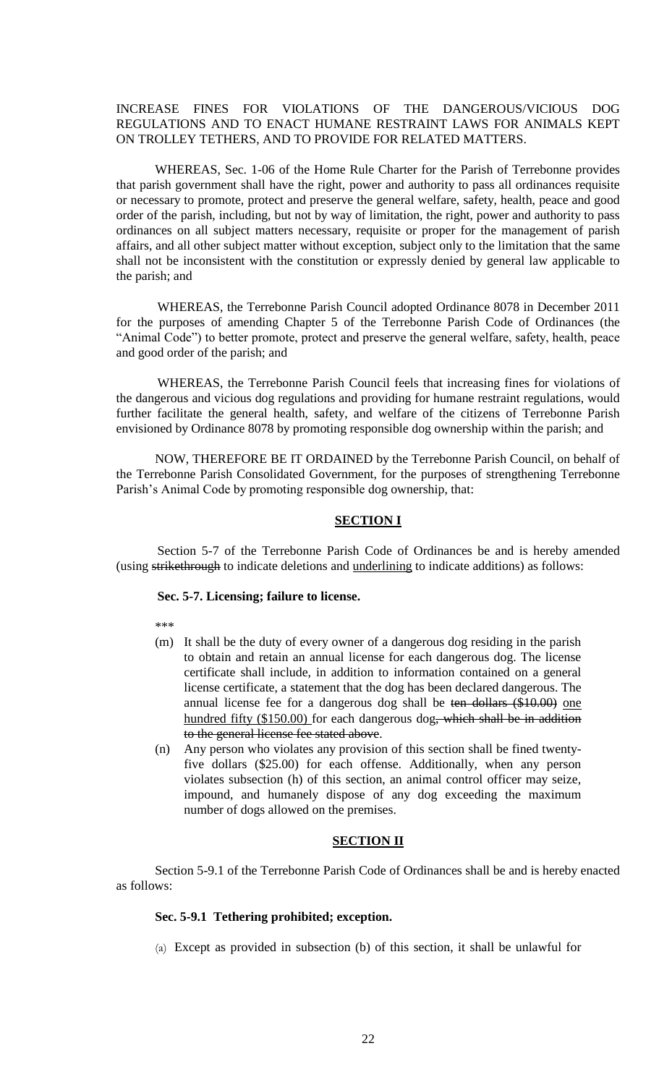INCREASE FINES FOR VIOLATIONS OF THE DANGEROUS/VICIOUS DOG REGULATIONS AND TO ENACT HUMANE RESTRAINT LAWS FOR ANIMALS KEPT ON TROLLEY TETHERS, AND TO PROVIDE FOR RELATED MATTERS.

WHEREAS, Sec. 1-06 of the Home Rule Charter for the Parish of Terrebonne provides that parish government shall have the right, power and authority to pass all ordinances requisite or necessary to promote, protect and preserve the general welfare, safety, health, peace and good order of the parish, including, but not by way of limitation, the right, power and authority to pass ordinances on all subject matters necessary, requisite or proper for the management of parish affairs, and all other subject matter without exception, subject only to the limitation that the same shall not be inconsistent with the constitution or expressly denied by general law applicable to the parish; and

WHEREAS, the Terrebonne Parish Council adopted Ordinance 8078 in December 2011 for the purposes of amending Chapter 5 of the Terrebonne Parish Code of Ordinances (the "Animal Code") to better promote, protect and preserve the general welfare, safety, health, peace and good order of the parish; and

WHEREAS, the Terrebonne Parish Council feels that increasing fines for violations of the dangerous and vicious dog regulations and providing for humane restraint regulations, would further facilitate the general health, safety, and welfare of the citizens of Terrebonne Parish envisioned by Ordinance 8078 by promoting responsible dog ownership within the parish; and

NOW, THEREFORE BE IT ORDAINED by the Terrebonne Parish Council, on behalf of the Terrebonne Parish Consolidated Government, for the purposes of strengthening Terrebonne Parish's Animal Code by promoting responsible dog ownership, that:

### **SECTION I**

Section 5-7 of the Terrebonne Parish Code of Ordinances be and is hereby amended (using strikethrough to indicate deletions and underlining to indicate additions) as follows:

#### **Sec. 5-7. Licensing; failure to license.**

\*\*\*

- (m) It shall be the duty of every owner of a dangerous dog residing in the parish to obtain and retain an annual license for each dangerous dog. The license certificate shall include, in addition to information contained on a general license certificate, a statement that the dog has been declared dangerous. The annual license fee for a dangerous dog shall be ten dollars (\$10.00) one hundred fifty (\$150.00) for each dangerous dog, which shall be in addition to the general license fee stated above.
- (n) Any person who violates any provision of this section shall be fined twentyfive dollars (\$25.00) for each offense. Additionally, when any person violates subsection (h) of this section, an animal control officer may seize, impound, and humanely dispose of any dog exceeding the maximum number of dogs allowed on the premises.

#### **SECTION II**

Section 5-9.1 of the Terrebonne Parish Code of Ordinances shall be and is hereby enacted as follows:

### **Sec. 5-9.1 Tethering prohibited; exception.**

(a) Except as provided in subsection (b) of this section, it shall be unlawful for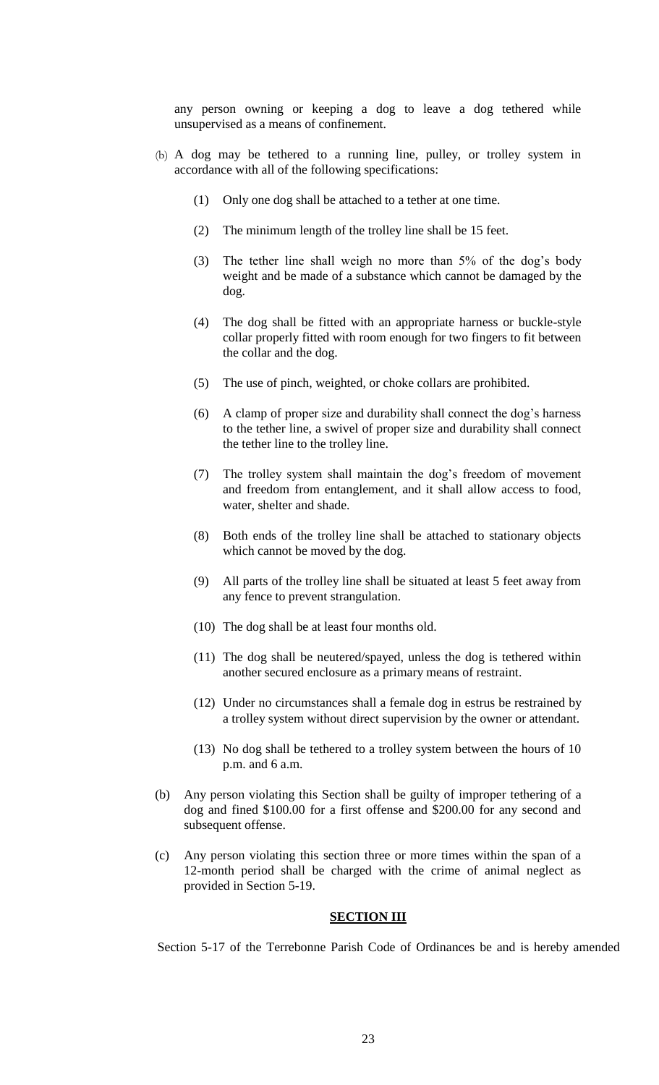any person owning or keeping a dog to leave a dog tethered while unsupervised as a means of confinement.

- (b) A dog may be tethered to a running line, pulley, or trolley system in accordance with all of the following specifications:
	- (1) Only one dog shall be attached to a tether at one time.
	- (2) The minimum length of the trolley line shall be 15 feet.
	- (3) The tether line shall weigh no more than 5% of the dog's body weight and be made of a substance which cannot be damaged by the dog.
	- (4) The dog shall be fitted with an appropriate harness or buckle-style collar properly fitted with room enough for two fingers to fit between the collar and the dog.
	- (5) The use of pinch, weighted, or choke collars are prohibited.
	- (6) A clamp of proper size and durability shall connect the dog's harness to the tether line, a swivel of proper size and durability shall connect the tether line to the trolley line.
	- (7) The trolley system shall maintain the dog's freedom of movement and freedom from entanglement, and it shall allow access to food, water, shelter and shade.
	- (8) Both ends of the trolley line shall be attached to stationary objects which cannot be moved by the dog.
	- (9) All parts of the trolley line shall be situated at least 5 feet away from any fence to prevent strangulation.
	- (10) The dog shall be at least four months old.
	- (11) The dog shall be neutered/spayed, unless the dog is tethered within another secured enclosure as a primary means of restraint.
	- (12) Under no circumstances shall a female dog in estrus be restrained by a trolley system without direct supervision by the owner or attendant.
	- (13) No dog shall be tethered to a trolley system between the hours of 10 p.m. and 6 a.m.
- (b) Any person violating this Section shall be guilty of improper tethering of a dog and fined \$100.00 for a first offense and \$200.00 for any second and subsequent offense.
- (c) Any person violating this section three or more times within the span of a 12-month period shall be charged with the crime of animal neglect as provided in Section 5-19.

# **SECTION III**

Section 5-17 of the Terrebonne Parish Code of Ordinances be and is hereby amended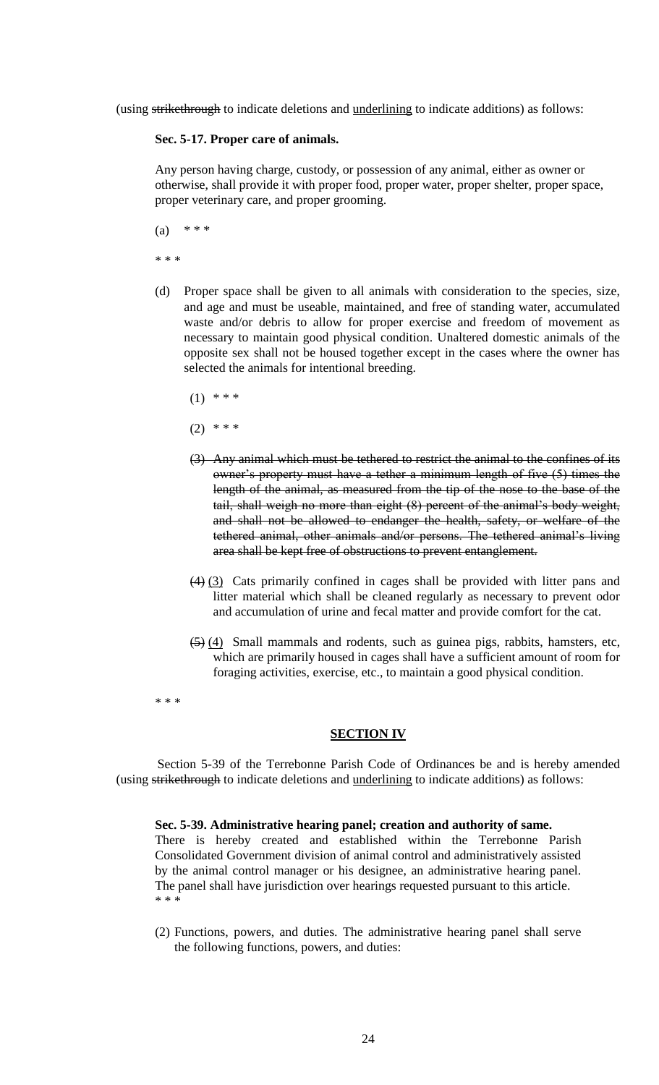(using strikethrough to indicate deletions and underlining to indicate additions) as follows:

# **Sec. 5-17. Proper care of animals.**

Any person having charge, custody, or possession of any animal, either as owner or otherwise, shall provide it with proper food, proper water, proper shelter, proper space, proper veterinary care, and proper grooming.

(a)  $***$ \* \* \*

- (d) Proper space shall be given to all animals with consideration to the species, size, and age and must be useable, maintained, and free of standing water, accumulated waste and/or debris to allow for proper exercise and freedom of movement as necessary to maintain good physical condition. Unaltered domestic animals of the opposite sex shall not be housed together except in the cases where the owner has selected the animals for intentional breeding.
	- $(1)$  \* \* \*
	- $(2)$  \* \* \*
	- (3) Any animal which must be tethered to restrict the animal to the confines of its owner's property must have a tether a minimum length of five (5) times the length of the animal, as measured from the tip of the nose to the base of the tail, shall weigh no more than eight (8) percent of the animal's body weight, and shall not be allowed to endanger the health, safety, or welfare of the tethered animal, other animals and/or persons. The tethered animal's living area shall be kept free of obstructions to prevent entanglement.
	- (4) (3) Cats primarily confined in cages shall be provided with litter pans and litter material which shall be cleaned regularly as necessary to prevent odor and accumulation of urine and fecal matter and provide comfort for the cat.
	- (5) (4) Small mammals and rodents, such as guinea pigs, rabbits, hamsters, etc, which are primarily housed in cages shall have a sufficient amount of room for foraging activities, exercise, etc., to maintain a good physical condition.

\* \* \*

#### **SECTION IV**

Section 5-39 of the Terrebonne Parish Code of Ordinances be and is hereby amended (using strikethrough to indicate deletions and underlining to indicate additions) as follows:

#### **Sec. 5-39. Administrative hearing panel; creation and authority of same.**

There is hereby created and established within the Terrebonne Parish Consolidated Government division of animal control and administratively assisted by the animal control manager or his designee, an administrative hearing panel. The panel shall have jurisdiction over hearings requested pursuant to this article. \* \* \*

(2) Functions, powers, and duties. The administrative hearing panel shall serve the following functions, powers, and duties: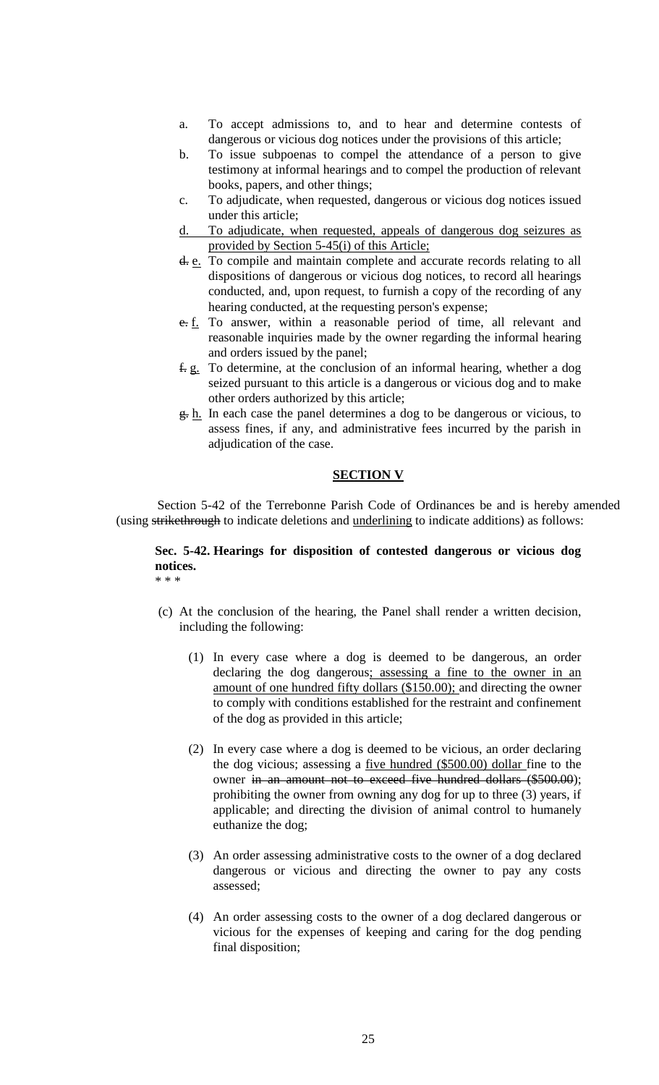- a. To accept admissions to, and to hear and determine contests of dangerous or vicious dog notices under the provisions of this article;
- b. To issue subpoenas to compel the attendance of a person to give testimony at informal hearings and to compel the production of relevant books, papers, and other things;
- c. To adjudicate, when requested, dangerous or vicious dog notices issued under this article;
- d. To adjudicate, when requested, appeals of dangerous dog seizures as provided by Section 5-45(i) of this Article;
- d. e. To compile and maintain complete and accurate records relating to all dispositions of dangerous or vicious dog notices, to record all hearings conducted, and, upon request, to furnish a copy of the recording of any hearing conducted, at the requesting person's expense;
- e. f. To answer, within a reasonable period of time, all relevant and reasonable inquiries made by the owner regarding the informal hearing and orders issued by the panel;
- f. g. To determine, at the conclusion of an informal hearing, whether a dog seized pursuant to this article is a dangerous or vicious dog and to make other orders authorized by this article;
- $g$ . h. In each case the panel determines a dog to be dangerous or vicious, to assess fines, if any, and administrative fees incurred by the parish in adjudication of the case.

## **SECTION V**

Section 5-42 of the Terrebonne Parish Code of Ordinances be and is hereby amended (using strikethrough to indicate deletions and underlining to indicate additions) as follows:

#### **Sec. 5-42. Hearings for disposition of contested dangerous or vicious dog notices.**  \* \* \*

- (c) At the conclusion of the hearing, the Panel shall render a written decision, including the following:
	- (1) In every case where a dog is deemed to be dangerous, an order declaring the dog dangerous; assessing a fine to the owner in an amount of one hundred fifty dollars (\$150.00); and directing the owner to comply with conditions established for the restraint and confinement of the dog as provided in this article;
	- (2) In every case where a dog is deemed to be vicious, an order declaring the dog vicious; assessing a five hundred (\$500.00) dollar fine to the owner in an amount not to exceed five hundred dollars (\$500.00); prohibiting the owner from owning any dog for up to three (3) years, if applicable; and directing the division of animal control to humanely euthanize the dog;
	- (3) An order assessing administrative costs to the owner of a dog declared dangerous or vicious and directing the owner to pay any costs assessed;
	- (4) An order assessing costs to the owner of a dog declared dangerous or vicious for the expenses of keeping and caring for the dog pending final disposition;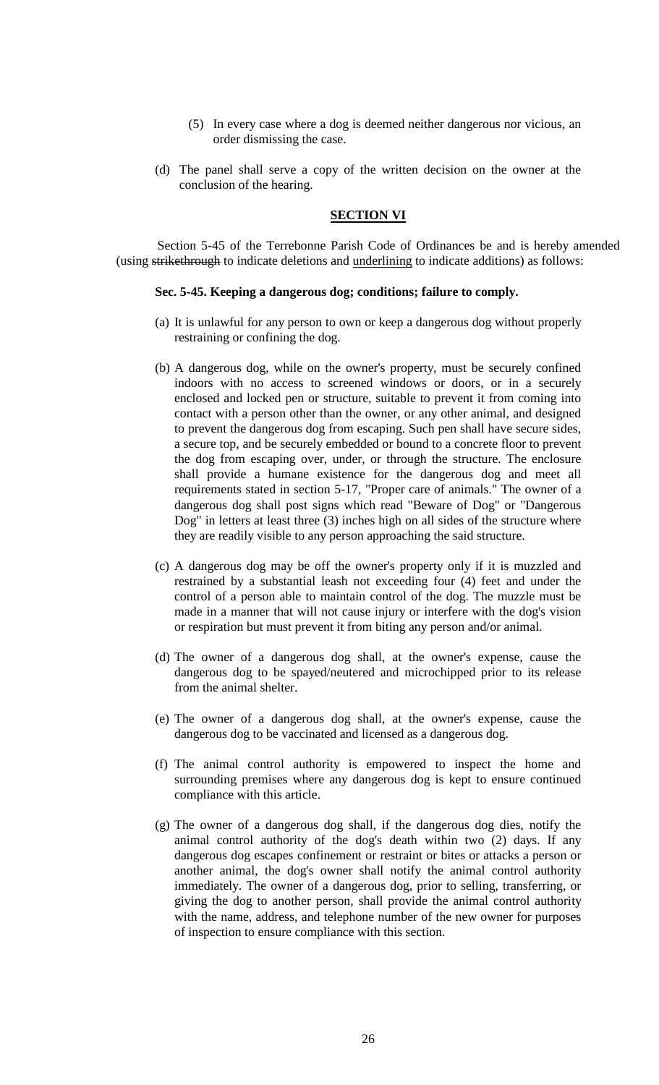- (5) In every case where a dog is deemed neither dangerous nor vicious, an order dismissing the case.
- (d) The panel shall serve a copy of the written decision on the owner at the conclusion of the hearing.

### **SECTION VI**

Section 5-45 of the Terrebonne Parish Code of Ordinances be and is hereby amended (using strikethrough to indicate deletions and underlining to indicate additions) as follows:

### **Sec. 5-45. Keeping a dangerous dog; conditions; failure to comply.**

- (a) It is unlawful for any person to own or keep a dangerous dog without properly restraining or confining the dog.
- (b) A dangerous dog, while on the owner's property, must be securely confined indoors with no access to screened windows or doors, or in a securely enclosed and locked pen or structure, suitable to prevent it from coming into contact with a person other than the owner, or any other animal, and designed to prevent the dangerous dog from escaping. Such pen shall have secure sides, a secure top, and be securely embedded or bound to a concrete floor to prevent the dog from escaping over, under, or through the structure. The enclosure shall provide a humane existence for the dangerous dog and meet all requirements stated in section 5-17, "Proper care of animals." The owner of a dangerous dog shall post signs which read "Beware of Dog" or "Dangerous Dog" in letters at least three (3) inches high on all sides of the structure where they are readily visible to any person approaching the said structure.
- (c) A dangerous dog may be off the owner's property only if it is muzzled and restrained by a substantial leash not exceeding four (4) feet and under the control of a person able to maintain control of the dog. The muzzle must be made in a manner that will not cause injury or interfere with the dog's vision or respiration but must prevent it from biting any person and/or animal.
- (d) The owner of a dangerous dog shall, at the owner's expense, cause the dangerous dog to be spayed/neutered and microchipped prior to its release from the animal shelter.
- (e) The owner of a dangerous dog shall, at the owner's expense, cause the dangerous dog to be vaccinated and licensed as a dangerous dog.
- (f) The animal control authority is empowered to inspect the home and surrounding premises where any dangerous dog is kept to ensure continued compliance with this article.
- (g) The owner of a dangerous dog shall, if the dangerous dog dies, notify the animal control authority of the dog's death within two (2) days. If any dangerous dog escapes confinement or restraint or bites or attacks a person or another animal, the dog's owner shall notify the animal control authority immediately. The owner of a dangerous dog, prior to selling, transferring, or giving the dog to another person, shall provide the animal control authority with the name, address, and telephone number of the new owner for purposes of inspection to ensure compliance with this section.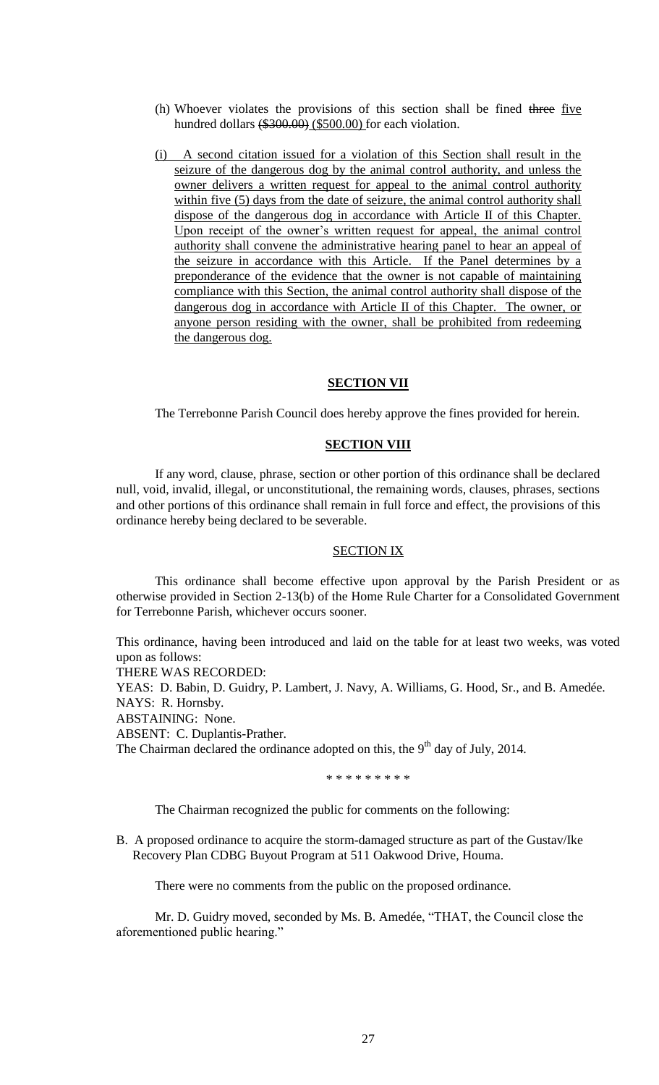- (h) Whoever violates the provisions of this section shall be fined three five hundred dollars (\$300.00) (\$500.00) for each violation.
- (i) A second citation issued for a violation of this Section shall result in the seizure of the dangerous dog by the animal control authority, and unless the owner delivers a written request for appeal to the animal control authority within five (5) days from the date of seizure, the animal control authority shall dispose of the dangerous dog in accordance with Article II of this Chapter. Upon receipt of the owner's written request for appeal, the animal control authority shall convene the administrative hearing panel to hear an appeal of the seizure in accordance with this Article. If the Panel determines by a preponderance of the evidence that the owner is not capable of maintaining compliance with this Section, the animal control authority shall dispose of the dangerous dog in accordance with Article II of this Chapter. The owner, or anyone person residing with the owner, shall be prohibited from redeeming the dangerous dog.

### **SECTION VII**

The Terrebonne Parish Council does hereby approve the fines provided for herein.

### **SECTION VIII**

If any word, clause, phrase, section or other portion of this ordinance shall be declared null, void, invalid, illegal, or unconstitutional, the remaining words, clauses, phrases, sections and other portions of this ordinance shall remain in full force and effect, the provisions of this ordinance hereby being declared to be severable.

### SECTION IX

This ordinance shall become effective upon approval by the Parish President or as otherwise provided in Section 2-13(b) of the Home Rule Charter for a Consolidated Government for Terrebonne Parish, whichever occurs sooner.

This ordinance, having been introduced and laid on the table for at least two weeks, was voted upon as follows:

THERE WAS RECORDED:

YEAS: D. Babin, D. Guidry, P. Lambert, J. Navy, A. Williams, G. Hood, Sr., and B. Amedée. NAYS: R. Hornsby.

ABSTAINING: None.

ABSENT: C. Duplantis-Prather.

The Chairman declared the ordinance adopted on this, the  $9<sup>th</sup>$  day of July, 2014.

\* \* \* \* \* \* \* \* \*

The Chairman recognized the public for comments on the following:

B. A proposed ordinance to acquire the storm-damaged structure as part of the Gustav/Ike Recovery Plan CDBG Buyout Program at 511 Oakwood Drive, Houma.

There were no comments from the public on the proposed ordinance.

Mr. D. Guidry moved, seconded by Ms. B. Amedée, "THAT, the Council close the aforementioned public hearing."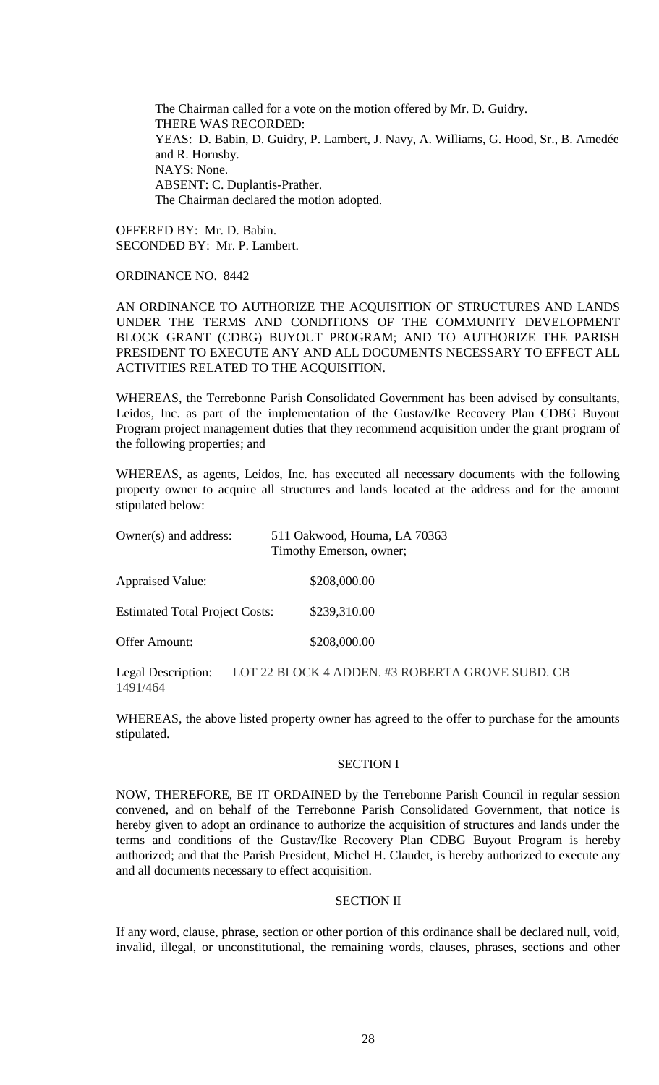The Chairman called for a vote on the motion offered by Mr. D. Guidry. THERE WAS RECORDED: YEAS: D. Babin, D. Guidry, P. Lambert, J. Navy, A. Williams, G. Hood, Sr., B. Amedée and R. Hornsby. NAYS: None. ABSENT: C. Duplantis-Prather. The Chairman declared the motion adopted.

OFFERED BY: Mr. D. Babin. SECONDED BY: Mr. P. Lambert.

# ORDINANCE NO. 8442

AN ORDINANCE TO AUTHORIZE THE ACQUISITION OF STRUCTURES AND LANDS UNDER THE TERMS AND CONDITIONS OF THE COMMUNITY DEVELOPMENT BLOCK GRANT (CDBG) BUYOUT PROGRAM; AND TO AUTHORIZE THE PARISH PRESIDENT TO EXECUTE ANY AND ALL DOCUMENTS NECESSARY TO EFFECT ALL ACTIVITIES RELATED TO THE ACQUISITION.

WHEREAS, the Terrebonne Parish Consolidated Government has been advised by consultants, Leidos, Inc. as part of the implementation of the Gustav/Ike Recovery Plan CDBG Buyout Program project management duties that they recommend acquisition under the grant program of the following properties; and

WHEREAS, as agents, Leidos, Inc. has executed all necessary documents with the following property owner to acquire all structures and lands located at the address and for the amount stipulated below:

| Owner(s) and address:                 | 511 Oakwood, Houma, LA 70363<br>Timothy Emerson, owner;                                                                         |  |  |
|---------------------------------------|---------------------------------------------------------------------------------------------------------------------------------|--|--|
| <b>Appraised Value:</b>               | \$208,000.00                                                                                                                    |  |  |
| <b>Estimated Total Project Costs:</b> | \$239,310.00                                                                                                                    |  |  |
| <b>Offer Amount:</b>                  | \$208,000.00                                                                                                                    |  |  |
| $\mathbf{I}$ in $\mathbf{I}$          | $I$ $\cap$ $\cap$ $\cap$ $I$ $\cap$ $\cap$ $I$ $I$ $\cap$ $I$ $\cap$ $I$ $\cap$ $I$ $\cap$ $I$ $\cap$ $I$ $\cap$ $I$ $\cap$ $I$ |  |  |

Legal Description: LOT 22 BLOCK 4 ADDEN. #3 ROBERTA GROVE SUBD. CB 1491/464

WHEREAS, the above listed property owner has agreed to the offer to purchase for the amounts stipulated.

### SECTION I

NOW, THEREFORE, BE IT ORDAINED by the Terrebonne Parish Council in regular session convened, and on behalf of the Terrebonne Parish Consolidated Government, that notice is hereby given to adopt an ordinance to authorize the acquisition of structures and lands under the terms and conditions of the Gustav/Ike Recovery Plan CDBG Buyout Program is hereby authorized; and that the Parish President, Michel H. Claudet, is hereby authorized to execute any and all documents necessary to effect acquisition.

### SECTION II

If any word, clause, phrase, section or other portion of this ordinance shall be declared null, void, invalid, illegal, or unconstitutional, the remaining words, clauses, phrases, sections and other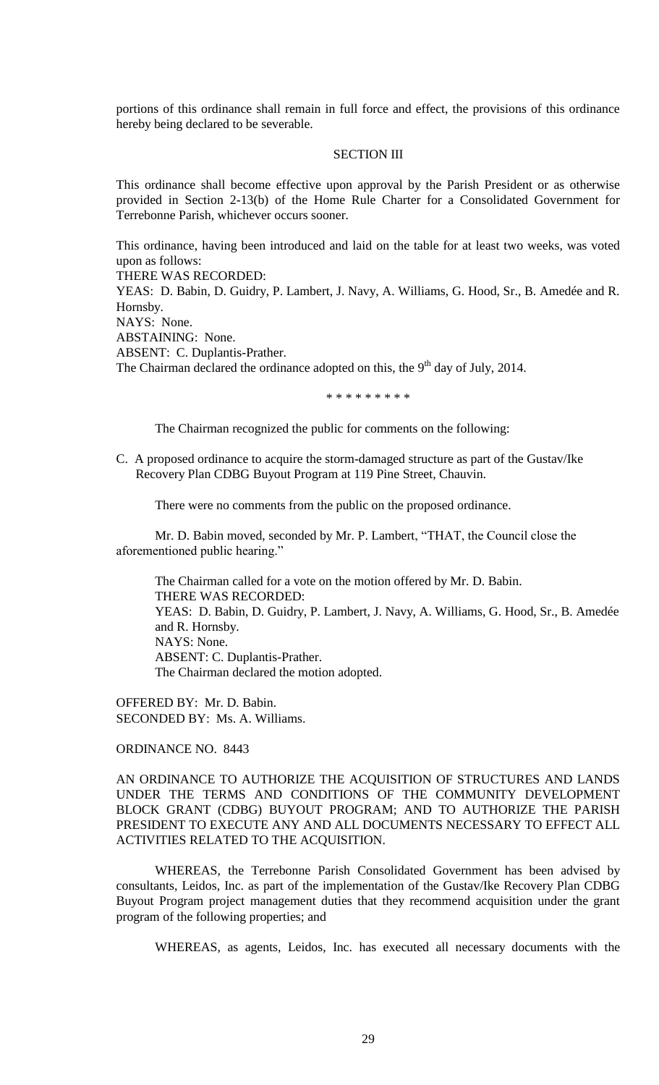portions of this ordinance shall remain in full force and effect, the provisions of this ordinance hereby being declared to be severable.

## SECTION III

This ordinance shall become effective upon approval by the Parish President or as otherwise provided in Section 2-13(b) of the Home Rule Charter for a Consolidated Government for Terrebonne Parish, whichever occurs sooner.

This ordinance, having been introduced and laid on the table for at least two weeks, was voted upon as follows:

THERE WAS RECORDED:

YEAS: D. Babin, D. Guidry, P. Lambert, J. Navy, A. Williams, G. Hood, Sr., B. Amedée and R. Hornsby.

NAYS: None.

ABSTAINING: None.

ABSENT: C. Duplantis-Prather.

The Chairman declared the ordinance adopted on this, the  $9<sup>th</sup>$  day of July, 2014.

\* \* \* \* \* \* \* \* \*

The Chairman recognized the public for comments on the following:

C. A proposed ordinance to acquire the storm-damaged structure as part of the Gustav/Ike Recovery Plan CDBG Buyout Program at 119 Pine Street, Chauvin.

There were no comments from the public on the proposed ordinance.

Mr. D. Babin moved, seconded by Mr. P. Lambert, "THAT, the Council close the aforementioned public hearing."

The Chairman called for a vote on the motion offered by Mr. D. Babin. THERE WAS RECORDED: YEAS: D. Babin, D. Guidry, P. Lambert, J. Navy, A. Williams, G. Hood, Sr., B. Amedée and R. Hornsby. NAYS: None. ABSENT: C. Duplantis-Prather. The Chairman declared the motion adopted.

OFFERED BY: Mr. D. Babin. SECONDED BY: Ms. A. Williams.

ORDINANCE NO. 8443

AN ORDINANCE TO AUTHORIZE THE ACQUISITION OF STRUCTURES AND LANDS UNDER THE TERMS AND CONDITIONS OF THE COMMUNITY DEVELOPMENT BLOCK GRANT (CDBG) BUYOUT PROGRAM; AND TO AUTHORIZE THE PARISH PRESIDENT TO EXECUTE ANY AND ALL DOCUMENTS NECESSARY TO EFFECT ALL ACTIVITIES RELATED TO THE ACQUISITION.

WHEREAS, the Terrebonne Parish Consolidated Government has been advised by consultants, Leidos, Inc. as part of the implementation of the Gustav/Ike Recovery Plan CDBG Buyout Program project management duties that they recommend acquisition under the grant program of the following properties; and

WHEREAS, as agents, Leidos, Inc. has executed all necessary documents with the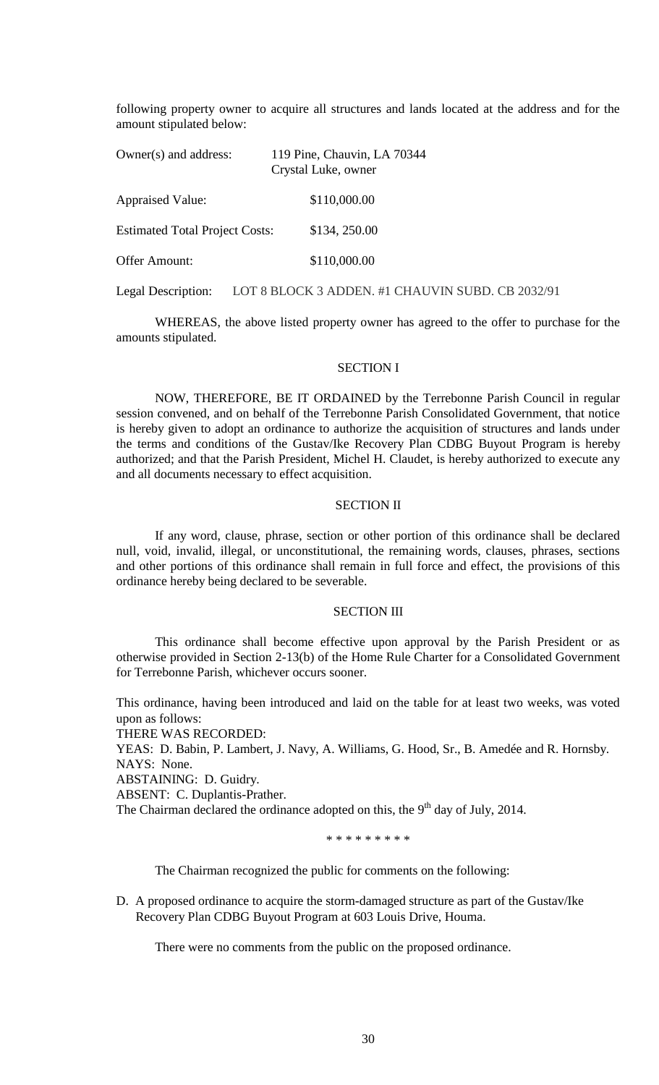following property owner to acquire all structures and lands located at the address and for the amount stipulated below:

| 119 Pine, Chauvin, LA 70344<br>Crystal Luke, owner |
|----------------------------------------------------|
| \$110,000.00                                       |
| \$134, 250.00                                      |
| \$110,000.00                                       |
|                                                    |

Legal Description: LOT 8 BLOCK 3 ADDEN. #1 CHAUVIN SUBD. CB 2032/91

WHEREAS, the above listed property owner has agreed to the offer to purchase for the amounts stipulated.

#### SECTION I

NOW, THEREFORE, BE IT ORDAINED by the Terrebonne Parish Council in regular session convened, and on behalf of the Terrebonne Parish Consolidated Government, that notice is hereby given to adopt an ordinance to authorize the acquisition of structures and lands under the terms and conditions of the Gustav/Ike Recovery Plan CDBG Buyout Program is hereby authorized; and that the Parish President, Michel H. Claudet, is hereby authorized to execute any and all documents necessary to effect acquisition.

### SECTION II

If any word, clause, phrase, section or other portion of this ordinance shall be declared null, void, invalid, illegal, or unconstitutional, the remaining words, clauses, phrases, sections and other portions of this ordinance shall remain in full force and effect, the provisions of this ordinance hereby being declared to be severable.

### SECTION III

This ordinance shall become effective upon approval by the Parish President or as otherwise provided in Section 2-13(b) of the Home Rule Charter for a Consolidated Government for Terrebonne Parish, whichever occurs sooner.

This ordinance, having been introduced and laid on the table for at least two weeks, was voted upon as follows:

THERE WAS RECORDED:

YEAS: D. Babin, P. Lambert, J. Navy, A. Williams, G. Hood, Sr., B. Amedée and R. Hornsby. NAYS: None.

ABSTAINING: D. Guidry.

ABSENT: C. Duplantis-Prather.

The Chairman declared the ordinance adopted on this, the  $9<sup>th</sup>$  day of July, 2014.

\* \* \* \* \* \* \* \* \*

The Chairman recognized the public for comments on the following:

D. A proposed ordinance to acquire the storm-damaged structure as part of the Gustav/Ike Recovery Plan CDBG Buyout Program at 603 Louis Drive, Houma.

There were no comments from the public on the proposed ordinance.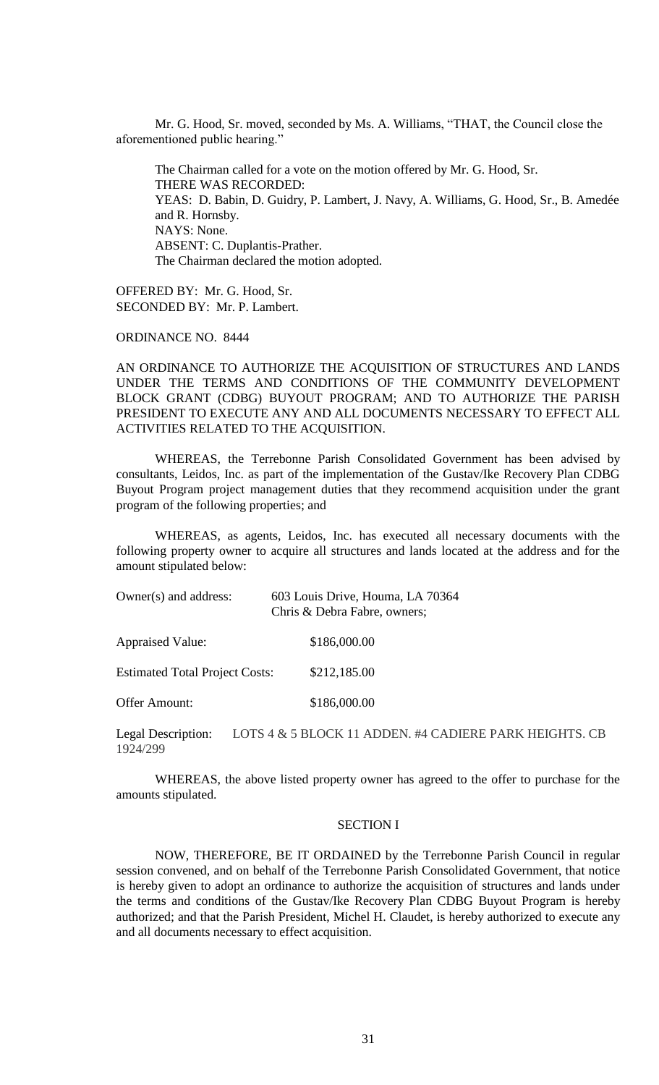Mr. G. Hood, Sr. moved, seconded by Ms. A. Williams, "THAT, the Council close the aforementioned public hearing."

The Chairman called for a vote on the motion offered by Mr. G. Hood, Sr. THERE WAS RECORDED: YEAS: D. Babin, D. Guidry, P. Lambert, J. Navy, A. Williams, G. Hood, Sr., B. Amedée and R. Hornsby. NAYS: None. ABSENT: C. Duplantis-Prather. The Chairman declared the motion adopted.

OFFERED BY: Mr. G. Hood, Sr. SECONDED BY: Mr. P. Lambert.

ORDINANCE NO. 8444

AN ORDINANCE TO AUTHORIZE THE ACQUISITION OF STRUCTURES AND LANDS UNDER THE TERMS AND CONDITIONS OF THE COMMUNITY DEVELOPMENT BLOCK GRANT (CDBG) BUYOUT PROGRAM; AND TO AUTHORIZE THE PARISH PRESIDENT TO EXECUTE ANY AND ALL DOCUMENTS NECESSARY TO EFFECT ALL ACTIVITIES RELATED TO THE ACQUISITION.

WHEREAS, the Terrebonne Parish Consolidated Government has been advised by consultants, Leidos, Inc. as part of the implementation of the Gustav/Ike Recovery Plan CDBG Buyout Program project management duties that they recommend acquisition under the grant program of the following properties; and

WHEREAS, as agents, Leidos, Inc. has executed all necessary documents with the following property owner to acquire all structures and lands located at the address and for the amount stipulated below:

| Owner(s) and address:                 | 603 Louis Drive, Houma, LA 70364<br>Chris & Debra Fabre, owners; |  |  |
|---------------------------------------|------------------------------------------------------------------|--|--|
| <b>Appraised Value:</b>               | \$186,000.00                                                     |  |  |
| <b>Estimated Total Project Costs:</b> | \$212,185.00                                                     |  |  |
| <b>Offer Amount:</b>                  | \$186,000.00                                                     |  |  |

Legal Description: LOTS 4 & 5 BLOCK 11 ADDEN. #4 CADIERE PARK HEIGHTS. CB 1924/299

WHEREAS, the above listed property owner has agreed to the offer to purchase for the amounts stipulated.

### SECTION I

NOW, THEREFORE, BE IT ORDAINED by the Terrebonne Parish Council in regular session convened, and on behalf of the Terrebonne Parish Consolidated Government, that notice is hereby given to adopt an ordinance to authorize the acquisition of structures and lands under the terms and conditions of the Gustav/Ike Recovery Plan CDBG Buyout Program is hereby authorized; and that the Parish President, Michel H. Claudet, is hereby authorized to execute any and all documents necessary to effect acquisition.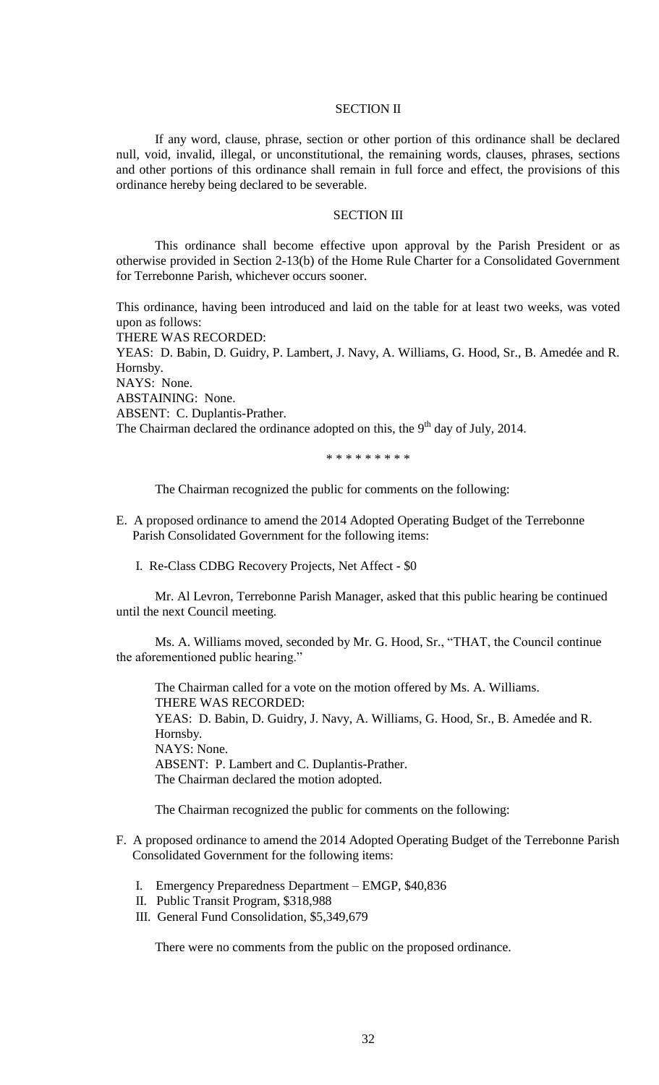### SECTION II

If any word, clause, phrase, section or other portion of this ordinance shall be declared null, void, invalid, illegal, or unconstitutional, the remaining words, clauses, phrases, sections and other portions of this ordinance shall remain in full force and effect, the provisions of this ordinance hereby being declared to be severable.

# SECTION III

This ordinance shall become effective upon approval by the Parish President or as otherwise provided in Section 2-13(b) of the Home Rule Charter for a Consolidated Government for Terrebonne Parish, whichever occurs sooner.

This ordinance, having been introduced and laid on the table for at least two weeks, was voted upon as follows:

THERE WAS RECORDED:

YEAS: D. Babin, D. Guidry, P. Lambert, J. Navy, A. Williams, G. Hood, Sr., B. Amedée and R. Hornsby.

NAYS: None.

ABSTAINING: None.

ABSENT: C. Duplantis-Prather.

The Chairman declared the ordinance adopted on this, the  $9<sup>th</sup>$  day of July, 2014.

\* \* \* \* \* \* \* \* \*

The Chairman recognized the public for comments on the following:

- E. A proposed ordinance to amend the 2014 Adopted Operating Budget of the Terrebonne Parish Consolidated Government for the following items:
	- I. Re-Class CDBG Recovery Projects, Net Affect \$0

Mr. Al Levron, Terrebonne Parish Manager, asked that this public hearing be continued until the next Council meeting.

Ms. A. Williams moved, seconded by Mr. G. Hood, Sr., "THAT, the Council continue the aforementioned public hearing."

The Chairman called for a vote on the motion offered by Ms. A. Williams. THERE WAS RECORDED: YEAS: D. Babin, D. Guidry, J. Navy, A. Williams, G. Hood, Sr., B. Amedée and R. Hornsby. NAYS: None. ABSENT: P. Lambert and C. Duplantis-Prather. The Chairman declared the motion adopted.

The Chairman recognized the public for comments on the following:

- F. A proposed ordinance to amend the 2014 Adopted Operating Budget of the Terrebonne Parish Consolidated Government for the following items:
	- I. Emergency Preparedness Department EMGP, \$40,836
	- II. Public Transit Program, \$318,988
	- III. General Fund Consolidation, \$5,349,679

There were no comments from the public on the proposed ordinance.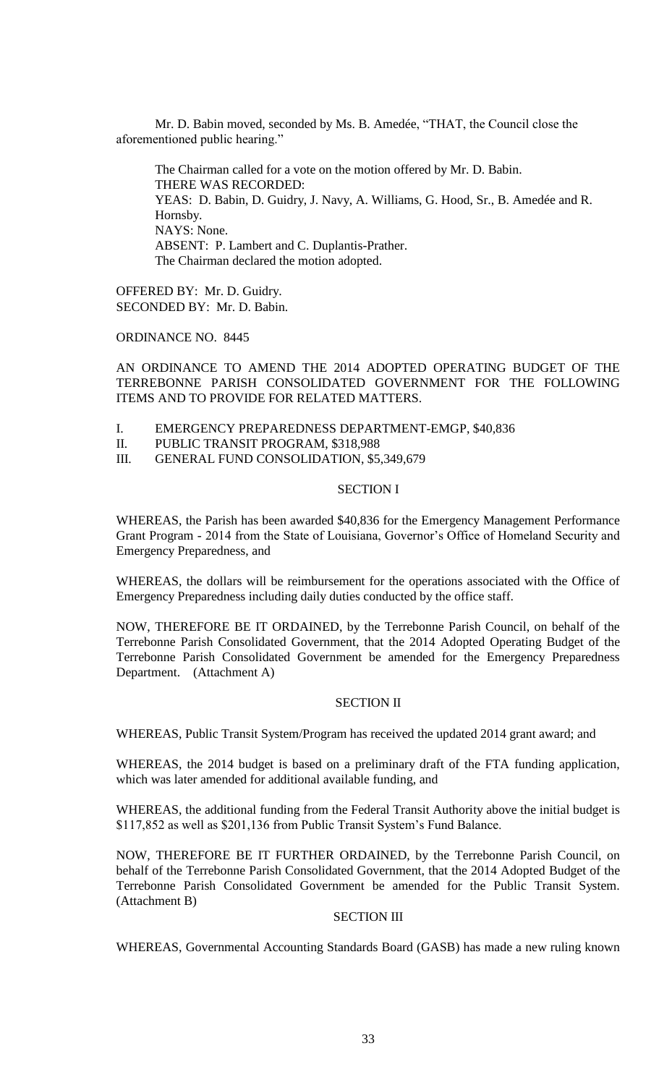Mr. D. Babin moved, seconded by Ms. B. Amedée, "THAT, the Council close the aforementioned public hearing."

The Chairman called for a vote on the motion offered by Mr. D. Babin. THERE WAS RECORDED: YEAS: D. Babin, D. Guidry, J. Navy, A. Williams, G. Hood, Sr., B. Amedée and R. Hornsby. NAYS: None. ABSENT: P. Lambert and C. Duplantis-Prather. The Chairman declared the motion adopted.

OFFERED BY: Mr. D. Guidry. SECONDED BY: Mr. D. Babin.

ORDINANCE NO. 8445

AN ORDINANCE TO AMEND THE 2014 ADOPTED OPERATING BUDGET OF THE TERREBONNE PARISH CONSOLIDATED GOVERNMENT FOR THE FOLLOWING ITEMS AND TO PROVIDE FOR RELATED MATTERS.

- I. EMERGENCY PREPAREDNESS DEPARTMENT-EMGP, \$40,836
- II. PUBLIC TRANSIT PROGRAM, \$318,988
- III. GENERAL FUND CONSOLIDATION, \$5,349,679

## SECTION I

WHEREAS, the Parish has been awarded \$40,836 for the Emergency Management Performance Grant Program - 2014 from the State of Louisiana, Governor's Office of Homeland Security and Emergency Preparedness, and

WHEREAS, the dollars will be reimbursement for the operations associated with the Office of Emergency Preparedness including daily duties conducted by the office staff.

NOW, THEREFORE BE IT ORDAINED, by the Terrebonne Parish Council, on behalf of the Terrebonne Parish Consolidated Government, that the 2014 Adopted Operating Budget of the Terrebonne Parish Consolidated Government be amended for the Emergency Preparedness Department. (Attachment A)

# SECTION II

WHEREAS, Public Transit System/Program has received the updated 2014 grant award; and

WHEREAS, the 2014 budget is based on a preliminary draft of the FTA funding application, which was later amended for additional available funding, and

WHEREAS, the additional funding from the Federal Transit Authority above the initial budget is \$117,852 as well as \$201,136 from Public Transit System's Fund Balance.

NOW, THEREFORE BE IT FURTHER ORDAINED, by the Terrebonne Parish Council, on behalf of the Terrebonne Parish Consolidated Government, that the 2014 Adopted Budget of the Terrebonne Parish Consolidated Government be amended for the Public Transit System. (Attachment B)

# SECTION III

WHEREAS, Governmental Accounting Standards Board (GASB) has made a new ruling known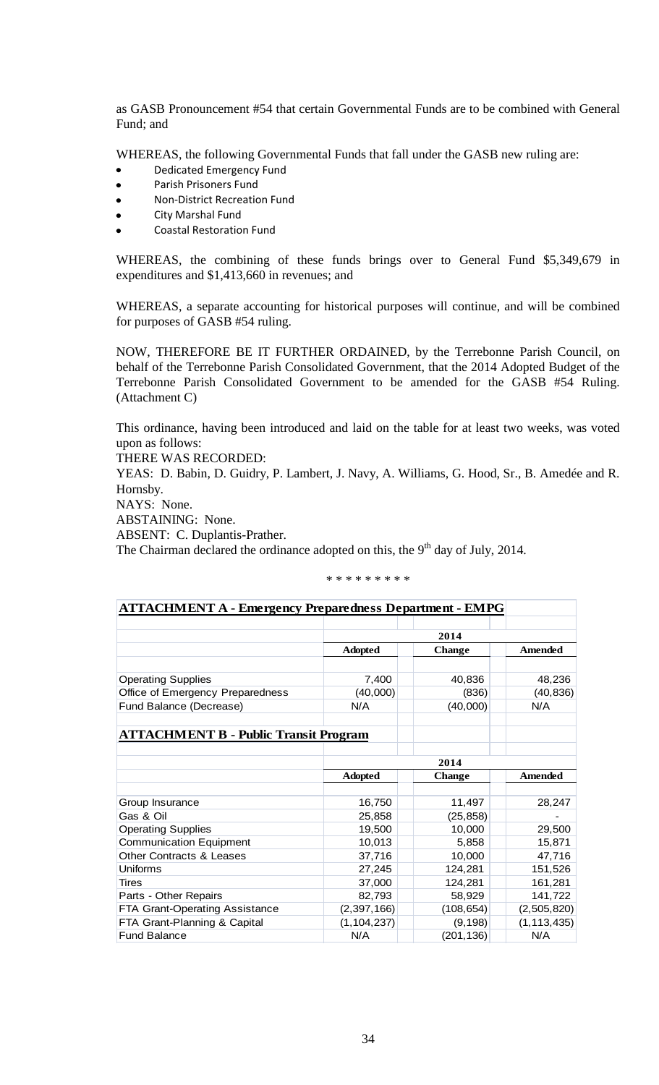as GASB Pronouncement #54 that certain Governmental Funds are to be combined with General Fund; and

WHEREAS, the following Governmental Funds that fall under the GASB new ruling are:

- Dedicated Emergency Fund
- Parish Prisoners Fund  $\bullet$
- Non-District Recreation Fund  $\bullet$
- City Marshal Fund
- Coastal Restoration Fund

WHEREAS, the combining of these funds brings over to General Fund \$5,349,679 in expenditures and \$1,413,660 in revenues; and

WHEREAS, a separate accounting for historical purposes will continue, and will be combined for purposes of GASB #54 ruling.

NOW, THEREFORE BE IT FURTHER ORDAINED, by the Terrebonne Parish Council, on behalf of the Terrebonne Parish Consolidated Government, that the 2014 Adopted Budget of the Terrebonne Parish Consolidated Government to be amended for the GASB #54 Ruling. (Attachment C)

This ordinance, having been introduced and laid on the table for at least two weeks, was voted upon as follows:

THERE WAS RECORDED:

YEAS: D. Babin, D. Guidry, P. Lambert, J. Navy, A. Williams, G. Hood, Sr., B. Amedée and R. Hornsby.

NAYS: None.

ABSTAINING: None.

ABSENT: C. Duplantis-Prather.

The Chairman declared the ordinance adopted on this, the  $9<sup>th</sup>$  day of July, 2014.

| <b>ATTACHMENT A - Emergency Preparedness Department - EMPG</b> |                |               |                |  |  |
|----------------------------------------------------------------|----------------|---------------|----------------|--|--|
|                                                                |                |               |                |  |  |
|                                                                |                | 2014          |                |  |  |
|                                                                | <b>Adopted</b> | <b>Change</b> | <b>Amended</b> |  |  |
|                                                                |                |               |                |  |  |
| <b>Operating Supplies</b>                                      | 7,400          | 40,836        | 48,236         |  |  |
| Office of Emergency Preparedness                               | (40,000)       | (836)         | (40, 836)      |  |  |
| Fund Balance (Decrease)                                        | N/A            | (40,000)      | N/A            |  |  |
| <b>ATTACHMENT B - Public Transit Program</b>                   |                |               |                |  |  |
|                                                                |                |               |                |  |  |
|                                                                | 2014           |               |                |  |  |
|                                                                | <b>Adopted</b> | <b>Change</b> | <b>Amended</b> |  |  |
|                                                                | 16,750         | 11,497        |                |  |  |
| Group Insurance<br>Gas & Oil                                   |                |               | 28,247         |  |  |
|                                                                | 25,858         | (25, 858)     |                |  |  |
| <b>Operating Supplies</b>                                      | 19,500         | 10,000        | 29,500         |  |  |
| <b>Communication Equipment</b>                                 | 10,013         | 5,858         | 15,871         |  |  |
| <b>Other Contracts &amp; Leases</b>                            | 37,716         | 10,000        | 47,716         |  |  |
| Uniforms                                                       | 27,245         | 124,281       | 151,526        |  |  |
| Tires                                                          | 37,000         | 124,281       | 161,281        |  |  |
| Parts - Other Repairs                                          | 82,793         | 58,929        | 141,722        |  |  |
| FTA Grant-Operating Assistance                                 | (2, 397, 166)  | (108, 654)    | (2,505,820)    |  |  |
| FTA Grant-Planning & Capital                                   | (1, 104, 237)  | (9, 198)      | (1, 113, 435)  |  |  |
| <b>Fund Balance</b>                                            | N/A            | (201, 136)    | N/A            |  |  |

\* \* \* \* \* \* \* \* \*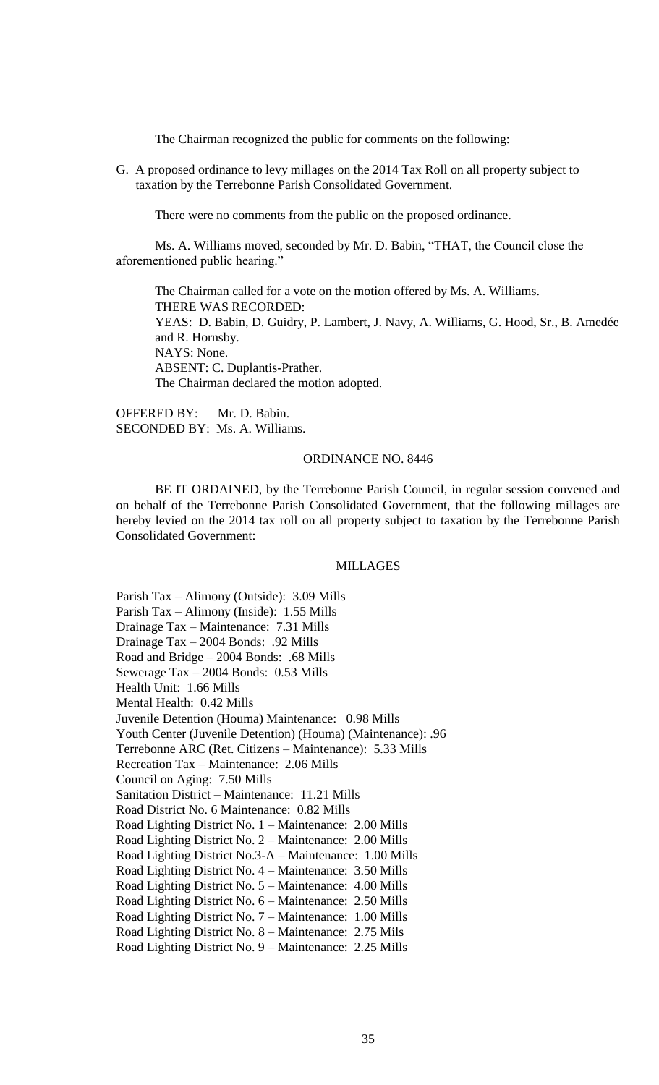The Chairman recognized the public for comments on the following:

G. A proposed ordinance to levy millages on the 2014 Tax Roll on all property subject to taxation by the Terrebonne Parish Consolidated Government.

There were no comments from the public on the proposed ordinance.

Ms. A. Williams moved, seconded by Mr. D. Babin, "THAT, the Council close the aforementioned public hearing."

The Chairman called for a vote on the motion offered by Ms. A. Williams. THERE WAS RECORDED: YEAS: D. Babin, D. Guidry, P. Lambert, J. Navy, A. Williams, G. Hood, Sr., B. Amedée and R. Hornsby. NAYS: None. ABSENT: C. Duplantis-Prather. The Chairman declared the motion adopted.

OFFERED BY: Mr. D. Babin. SECONDED BY: Ms. A. Williams.

### ORDINANCE NO. 8446

BE IT ORDAINED, by the Terrebonne Parish Council, in regular session convened and on behalf of the Terrebonne Parish Consolidated Government, that the following millages are hereby levied on the 2014 tax roll on all property subject to taxation by the Terrebonne Parish Consolidated Government:

# MILLAGES

Parish Tax – Alimony (Outside): 3.09 Mills Parish Tax – Alimony (Inside): 1.55 Mills Drainage Tax – Maintenance: 7.31 Mills Drainage Tax – 2004 Bonds: .92 Mills Road and Bridge – 2004 Bonds: .68 Mills Sewerage Tax – 2004 Bonds: 0.53 Mills Health Unit: 1.66 Mills Mental Health: 0.42 Mills Juvenile Detention (Houma) Maintenance: 0.98 Mills Youth Center (Juvenile Detention) (Houma) (Maintenance): .96 Terrebonne ARC (Ret. Citizens – Maintenance): 5.33 Mills Recreation Tax – Maintenance: 2.06 Mills Council on Aging: 7.50 Mills Sanitation District – Maintenance: 11.21 Mills Road District No. 6 Maintenance: 0.82 Mills Road Lighting District No. 1 – Maintenance: 2.00 Mills Road Lighting District No. 2 – Maintenance: 2.00 Mills Road Lighting District No.3-A – Maintenance: 1.00 Mills Road Lighting District No. 4 – Maintenance: 3.50 Mills Road Lighting District No. 5 – Maintenance: 4.00 Mills Road Lighting District No. 6 – Maintenance: 2.50 Mills Road Lighting District No. 7 – Maintenance: 1.00 Mills Road Lighting District No. 8 – Maintenance: 2.75 Mils Road Lighting District No. 9 – Maintenance: 2.25 Mills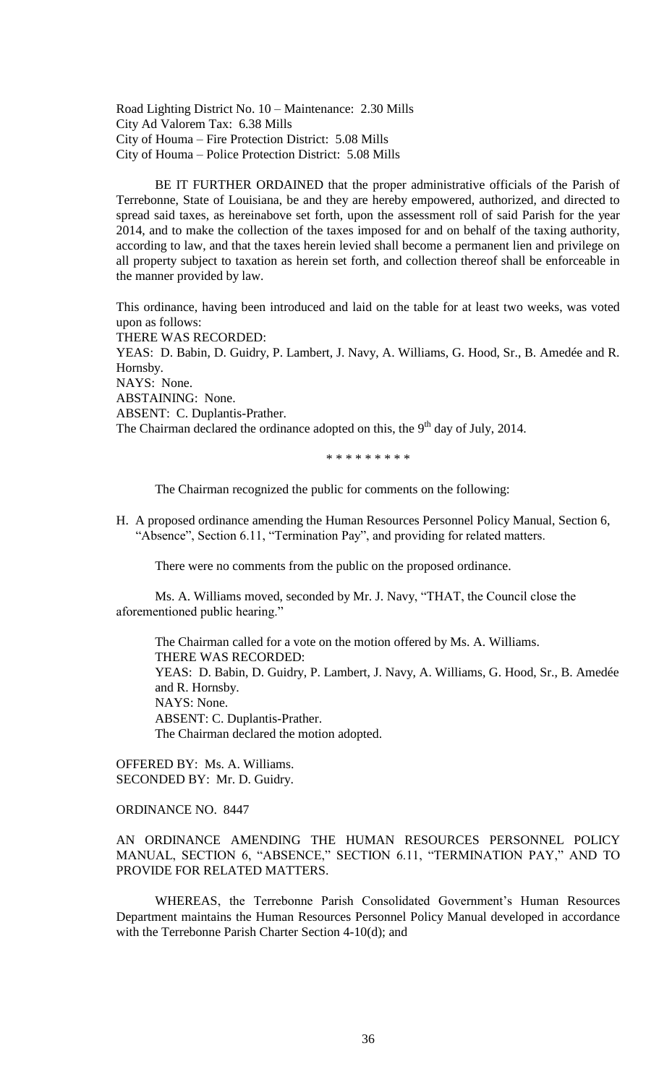Road Lighting District No. 10 – Maintenance: 2.30 Mills City Ad Valorem Tax: 6.38 Mills City of Houma – Fire Protection District: 5.08 Mills City of Houma – Police Protection District: 5.08 Mills

BE IT FURTHER ORDAINED that the proper administrative officials of the Parish of Terrebonne, State of Louisiana, be and they are hereby empowered, authorized, and directed to spread said taxes, as hereinabove set forth, upon the assessment roll of said Parish for the year 2014, and to make the collection of the taxes imposed for and on behalf of the taxing authority, according to law, and that the taxes herein levied shall become a permanent lien and privilege on all property subject to taxation as herein set forth, and collection thereof shall be enforceable in the manner provided by law.

This ordinance, having been introduced and laid on the table for at least two weeks, was voted upon as follows:

THERE WAS RECORDED: YEAS: D. Babin, D. Guidry, P. Lambert, J. Navy, A. Williams, G. Hood, Sr., B. Amedée and R. Hornsby. NAYS: None. ABSTAINING: None. ABSENT: C. Duplantis-Prather. The Chairman declared the ordinance adopted on this, the  $9<sup>th</sup>$  day of July, 2014.

\* \* \* \* \* \* \* \* \*

The Chairman recognized the public for comments on the following:

H. A proposed ordinance amending the Human Resources Personnel Policy Manual, Section 6, "Absence", Section 6.11, "Termination Pay", and providing for related matters.

There were no comments from the public on the proposed ordinance.

Ms. A. Williams moved, seconded by Mr. J. Navy, "THAT, the Council close the aforementioned public hearing."

The Chairman called for a vote on the motion offered by Ms. A. Williams. THERE WAS RECORDED: YEAS: D. Babin, D. Guidry, P. Lambert, J. Navy, A. Williams, G. Hood, Sr., B. Amedée and R. Hornsby. NAYS: None. ABSENT: C. Duplantis-Prather. The Chairman declared the motion adopted.

OFFERED BY: Ms. A. Williams. SECONDED BY: Mr. D. Guidry.

ORDINANCE NO. 8447

AN ORDINANCE AMENDING THE HUMAN RESOURCES PERSONNEL POLICY MANUAL, SECTION 6, "ABSENCE," SECTION 6.11, "TERMINATION PAY," AND TO PROVIDE FOR RELATED MATTERS.

WHEREAS, the Terrebonne Parish Consolidated Government's Human Resources Department maintains the Human Resources Personnel Policy Manual developed in accordance with the Terrebonne Parish Charter Section 4-10(d); and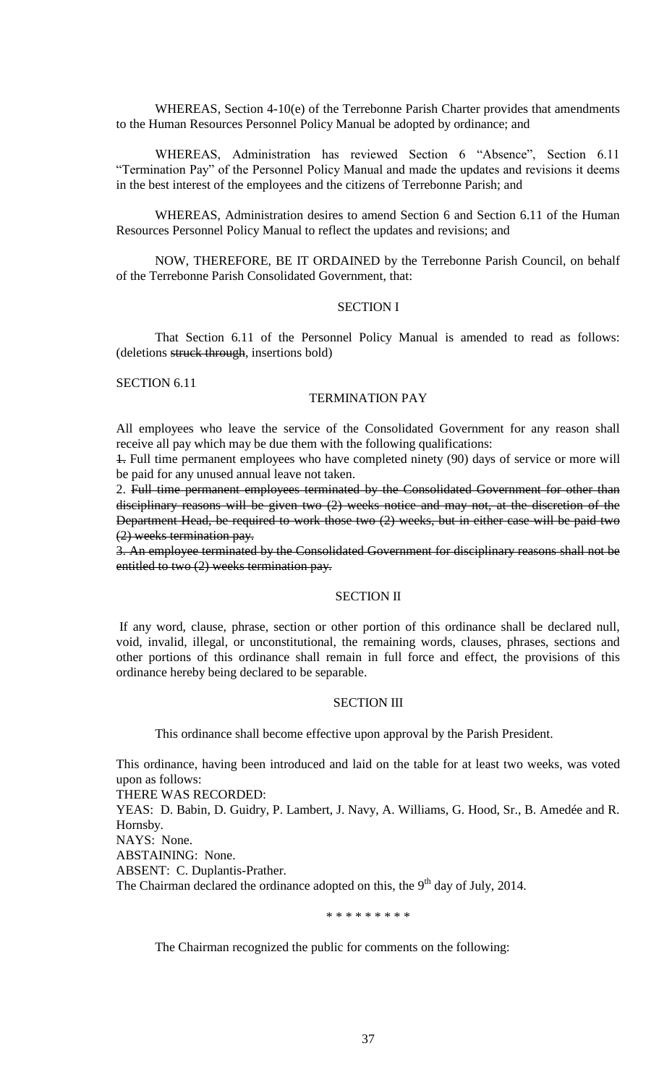WHEREAS, Section 4-10(e) of the Terrebonne Parish Charter provides that amendments to the Human Resources Personnel Policy Manual be adopted by ordinance; and

WHEREAS, Administration has reviewed Section 6 "Absence", Section 6.11 "Termination Pay" of the Personnel Policy Manual and made the updates and revisions it deems in the best interest of the employees and the citizens of Terrebonne Parish; and

WHEREAS, Administration desires to amend Section 6 and Section 6.11 of the Human Resources Personnel Policy Manual to reflect the updates and revisions; and

NOW, THEREFORE, BE IT ORDAINED by the Terrebonne Parish Council, on behalf of the Terrebonne Parish Consolidated Government, that:

### SECTION I

That Section 6.11 of the Personnel Policy Manual is amended to read as follows: (deletions struck through, insertions bold)

SECTION 6.11

### TERMINATION PAY

All employees who leave the service of the Consolidated Government for any reason shall receive all pay which may be due them with the following qualifications:

1. Full time permanent employees who have completed ninety (90) days of service or more will be paid for any unused annual leave not taken.

2. Full time permanent employees terminated by the Consolidated Government for other than disciplinary reasons will be given two (2) weeks notice and may not, at the discretion of the Department Head, be required to work those two (2) weeks, but in either case will be paid two (2) weeks termination pay.

3. An employee terminated by the Consolidated Government for disciplinary reasons shall not be entitled to two (2) weeks termination pay.

#### SECTION II

If any word, clause, phrase, section or other portion of this ordinance shall be declared null, void, invalid, illegal, or unconstitutional, the remaining words, clauses, phrases, sections and other portions of this ordinance shall remain in full force and effect, the provisions of this ordinance hereby being declared to be separable.

# SECTION III

This ordinance shall become effective upon approval by the Parish President.

This ordinance, having been introduced and laid on the table for at least two weeks, was voted upon as follows:

THERE WAS RECORDED:

YEAS: D. Babin, D. Guidry, P. Lambert, J. Navy, A. Williams, G. Hood, Sr., B. Amedée and R. Hornsby.

NAYS: None.

ABSTAINING: None.

ABSENT: C. Duplantis-Prather.

The Chairman declared the ordinance adopted on this, the  $9<sup>th</sup>$  day of July, 2014.

\* \* \* \* \* \* \* \* \*

The Chairman recognized the public for comments on the following: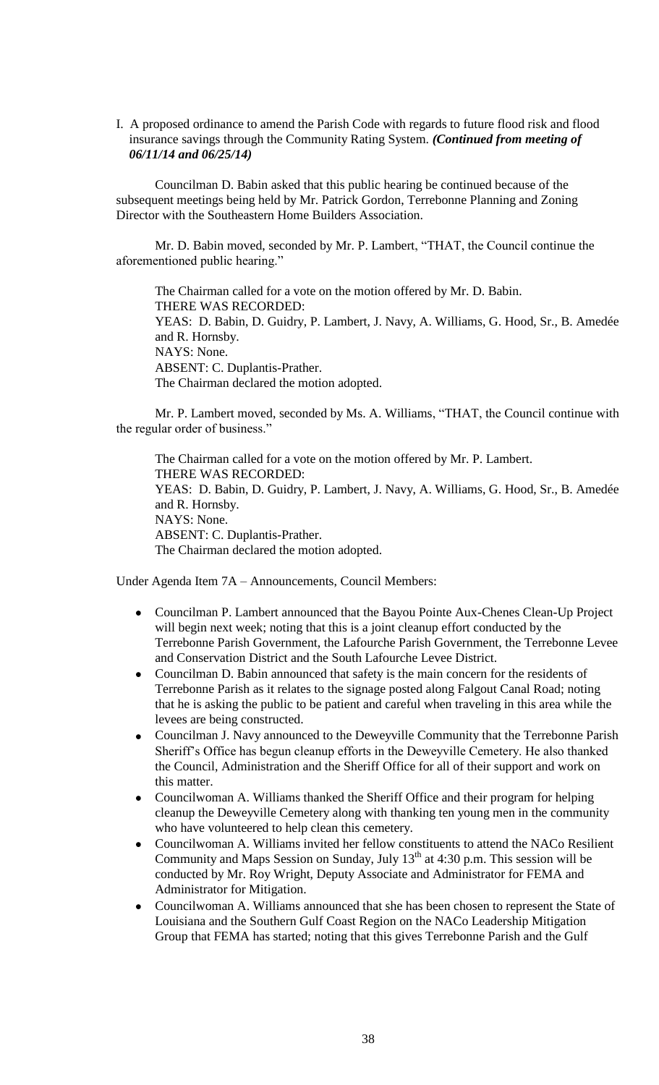I. A proposed ordinance to amend the Parish Code with regards to future flood risk and flood insurance savings through the Community Rating System. *(Continued from meeting of 06/11/14 and 06/25/14)* 

Councilman D. Babin asked that this public hearing be continued because of the subsequent meetings being held by Mr. Patrick Gordon, Terrebonne Planning and Zoning Director with the Southeastern Home Builders Association.

Mr. D. Babin moved, seconded by Mr. P. Lambert, "THAT, the Council continue the aforementioned public hearing."

The Chairman called for a vote on the motion offered by Mr. D. Babin. THERE WAS RECORDED: YEAS: D. Babin, D. Guidry, P. Lambert, J. Navy, A. Williams, G. Hood, Sr., B. Amedée and R. Hornsby. NAYS: None. ABSENT: C. Duplantis-Prather. The Chairman declared the motion adopted.

Mr. P. Lambert moved, seconded by Ms. A. Williams, "THAT, the Council continue with the regular order of business."

The Chairman called for a vote on the motion offered by Mr. P. Lambert. THERE WAS RECORDED: YEAS: D. Babin, D. Guidry, P. Lambert, J. Navy, A. Williams, G. Hood, Sr., B. Amedée and R. Hornsby. NAYS: None. ABSENT: C. Duplantis-Prather. The Chairman declared the motion adopted.

Under Agenda Item 7A – Announcements, Council Members:

- Councilman P. Lambert announced that the Bayou Pointe Aux-Chenes Clean-Up Project  $\bullet$ will begin next week; noting that this is a joint cleanup effort conducted by the Terrebonne Parish Government, the Lafourche Parish Government, the Terrebonne Levee and Conservation District and the South Lafourche Levee District.
- $\bullet$ Councilman D. Babin announced that safety is the main concern for the residents of Terrebonne Parish as it relates to the signage posted along Falgout Canal Road; noting that he is asking the public to be patient and careful when traveling in this area while the levees are being constructed.
- Councilman J. Navy announced to the Deweyville Community that the Terrebonne Parish Sheriff's Office has begun cleanup efforts in the Deweyville Cemetery. He also thanked the Council, Administration and the Sheriff Office for all of their support and work on this matter.
- Councilwoman A. Williams thanked the Sheriff Office and their program for helping cleanup the Deweyville Cemetery along with thanking ten young men in the community who have volunteered to help clean this cemetery.
- Councilwoman A. Williams invited her fellow constituents to attend the NACo Resilient  $\bullet$ Community and Maps Session on Sunday, July  $13<sup>th</sup>$  at 4:30 p.m. This session will be conducted by Mr. Roy Wright, Deputy Associate and Administrator for FEMA and Administrator for Mitigation.
- Councilwoman A. Williams announced that she has been chosen to represent the State of  $\bullet$ Louisiana and the Southern Gulf Coast Region on the NACo Leadership Mitigation Group that FEMA has started; noting that this gives Terrebonne Parish and the Gulf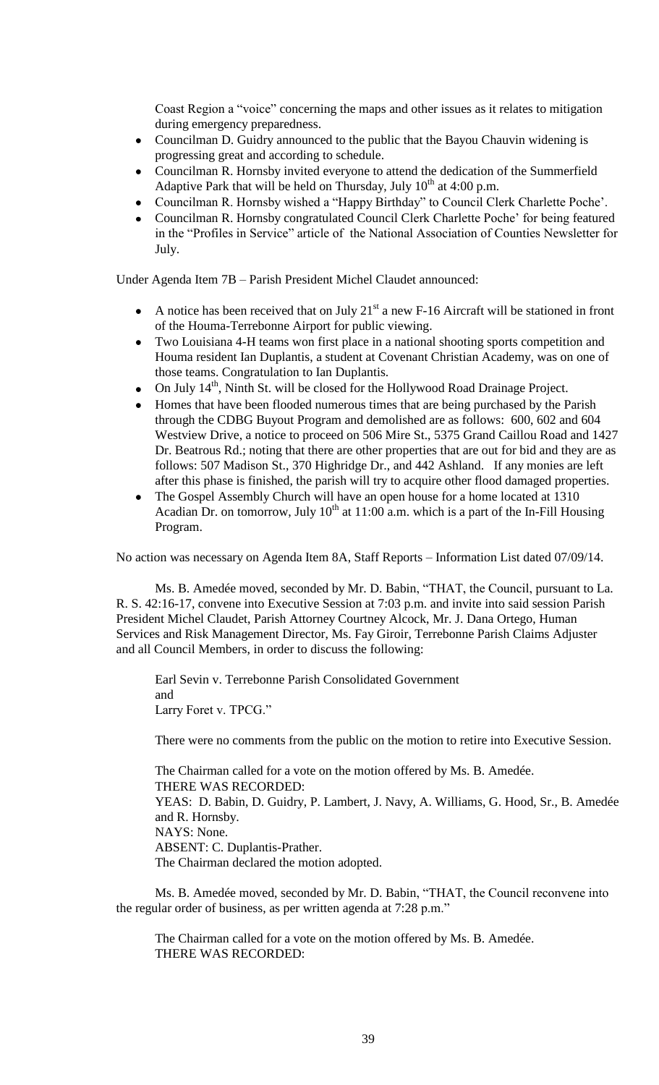Coast Region a "voice" concerning the maps and other issues as it relates to mitigation during emergency preparedness.

- Councilman D. Guidry announced to the public that the Bayou Chauvin widening is  $\bullet$ progressing great and according to schedule.
- Councilman R. Hornsby invited everyone to attend the dedication of the Summerfield Adaptive Park that will be held on Thursday, July  $10^{th}$  at 4:00 p.m.
- Councilman R. Hornsby wished a "Happy Birthday" to Council Clerk Charlette Poche'.
- Councilman R. Hornsby congratulated Council Clerk Charlette Poche' for being featured in the "Profiles in Service" article of the National Association of Counties Newsletter for July.

Under Agenda Item 7B – Parish President Michel Claudet announced:

- A notice has been received that on July  $21<sup>st</sup>$  a new F-16 Aircraft will be stationed in front of the Houma-Terrebonne Airport for public viewing.
- Two Louisiana 4-H teams won first place in a national shooting sports competition and Houma resident Ian Duplantis, a student at Covenant Christian Academy, was on one of those teams. Congratulation to Ian Duplantis.
- On July 14<sup>th</sup>, Ninth St. will be closed for the Hollywood Road Drainage Project.  $\bullet$
- $\bullet$ Homes that have been flooded numerous times that are being purchased by the Parish through the CDBG Buyout Program and demolished are as follows: 600, 602 and 604 Westview Drive, a notice to proceed on 506 Mire St., 5375 Grand Caillou Road and 1427 Dr. Beatrous Rd.; noting that there are other properties that are out for bid and they are as follows: 507 Madison St., 370 Highridge Dr., and 442 Ashland. If any monies are left after this phase is finished, the parish will try to acquire other flood damaged properties.
- The Gospel Assembly Church will have an open house for a home located at 1310  $\bullet$ Acadian Dr. on tomorrow, July  $10^{th}$  at 11:00 a.m. which is a part of the In-Fill Housing Program.

No action was necessary on Agenda Item 8A, Staff Reports – Information List dated 07/09/14.

Ms. B. Amedée moved, seconded by Mr. D. Babin, "THAT, the Council, pursuant to La. R. S. 42:16-17, convene into Executive Session at 7:03 p.m. and invite into said session Parish President Michel Claudet, Parish Attorney Courtney Alcock, Mr. J. Dana Ortego, Human Services and Risk Management Director, Ms. Fay Giroir, Terrebonne Parish Claims Adjuster and all Council Members, in order to discuss the following:

Earl Sevin v. Terrebonne Parish Consolidated Government and Larry Foret v. TPCG."

There were no comments from the public on the motion to retire into Executive Session.

The Chairman called for a vote on the motion offered by Ms. B. Amedée. THERE WAS RECORDED: YEAS: D. Babin, D. Guidry, P. Lambert, J. Navy, A. Williams, G. Hood, Sr., B. Amedée and R. Hornsby. NAYS: None. ABSENT: C. Duplantis-Prather. The Chairman declared the motion adopted.

Ms. B. Amedée moved, seconded by Mr. D. Babin, "THAT, the Council reconvene into the regular order of business, as per written agenda at 7:28 p.m."

The Chairman called for a vote on the motion offered by Ms. B. Amedée. THERE WAS RECORDED: